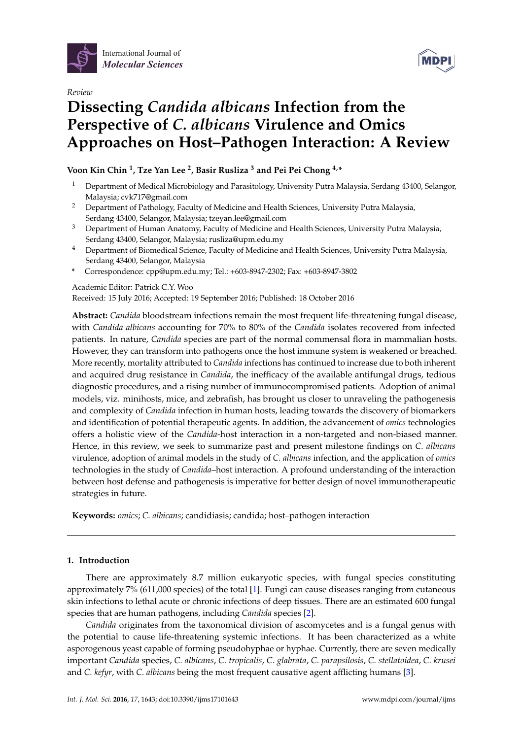

*Review*

# **MDP**

# **Dissecting** *Candida albicans* **Infection from the Perspective of** *C. albicans* **Virulence and Omics Approaches on Host–Pathogen Interaction: A Review**

## **Voon Kin Chin <sup>1</sup> , Tze Yan Lee <sup>2</sup> , Basir Rusliza <sup>3</sup> and Pei Pei Chong 4,\***

- <sup>1</sup> Department of Medical Microbiology and Parasitology, University Putra Malaysia, Serdang 43400, Selangor, Malaysia; cvk717@gmail.com
- <sup>2</sup> Department of Pathology, Faculty of Medicine and Health Sciences, University Putra Malaysia, Serdang 43400, Selangor, Malaysia; tzeyan.lee@gmail.com
- <sup>3</sup> Department of Human Anatomy, Faculty of Medicine and Health Sciences, University Putra Malaysia, Serdang 43400, Selangor, Malaysia; rusliza@upm.edu.my
- <sup>4</sup> Department of Biomedical Science, Faculty of Medicine and Health Sciences, University Putra Malaysia, Serdang 43400, Selangor, Malaysia
- **\*** Correspondence: cpp@upm.edu.my; Tel.: +603-8947-2302; Fax: +603-8947-3802

### Academic Editor: Patrick C.Y. Woo

Received: 15 July 2016; Accepted: 19 September 2016; Published: 18 October 2016

**Abstract:** *Candida* bloodstream infections remain the most frequent life-threatening fungal disease, with *Candida albicans* accounting for 70% to 80% of the *Candida* isolates recovered from infected patients. In nature, *Candida* species are part of the normal commensal flora in mammalian hosts. However, they can transform into pathogens once the host immune system is weakened or breached. More recently, mortality attributed to *Candida* infections has continued to increase due to both inherent and acquired drug resistance in *Candida*, the inefficacy of the available antifungal drugs, tedious diagnostic procedures, and a rising number of immunocompromised patients. Adoption of animal models, viz. minihosts, mice, and zebrafish, has brought us closer to unraveling the pathogenesis and complexity of *Candida* infection in human hosts, leading towards the discovery of biomarkers and identification of potential therapeutic agents. In addition, the advancement of *omics* technologies offers a holistic view of the *Candida*-host interaction in a non-targeted and non-biased manner. Hence, in this review, we seek to summarize past and present milestone findings on *C. albicans* virulence, adoption of animal models in the study of *C. albicans* infection, and the application of *omics* technologies in the study of *Candida*–host interaction. A profound understanding of the interaction between host defense and pathogenesis is imperative for better design of novel immunotherapeutic strategies in future.

**Keywords:** *omics*; *C. albicans*; candidiasis; candida; host–pathogen interaction

#### **1. Introduction**

There are approximately 8.7 million eukaryotic species, with fungal species constituting approximately 7% (611,000 species) of the total [\[1\]](#page-10-0). Fungi can cause diseases ranging from cutaneous skin infections to lethal acute or chronic infections of deep tissues. There are an estimated 600 fungal species that are human pathogens, including *Candida* species [\[2\]](#page-10-1).

*Candida* originates from the taxonomical division of ascomycetes and is a fungal genus with the potential to cause life-threatening systemic infections. It has been characterized as a white asporogenous yeast capable of forming pseudohyphae or hyphae. Currently, there are seven medically important *Candida* species, *C. albicans*, *C. tropicalis*, *C. glabrata*, *C. parapsilosis*, *C. stellatoidea*, *C. krusei* and *C. kefyr*, with *C. albicans* being the most frequent causative agent afflicting humans [\[3\]](#page-10-2).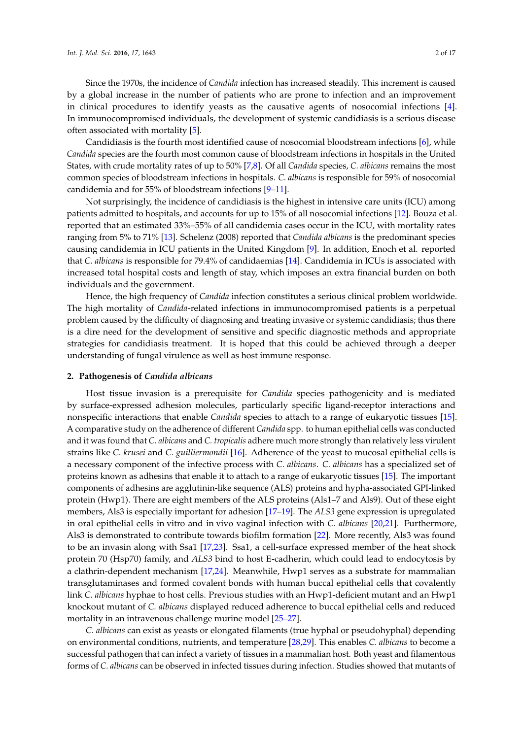Since the 1970s, the incidence of *Candida* infection has increased steadily. This increment is caused by a global increase in the number of patients who are prone to infection and an improvement in clinical procedures to identify yeasts as the causative agents of nosocomial infections [\[4\]](#page-10-3). In immunocompromised individuals, the development of systemic candidiasis is a serious disease often associated with mortality [\[5\]](#page-10-4).

Candidiasis is the fourth most identified cause of nosocomial bloodstream infections [\[6\]](#page-10-5), while *Candida* species are the fourth most common cause of bloodstream infections in hospitals in the United States, with crude mortality rates of up to 50% [\[7](#page-10-6)[,8\]](#page-10-7). Of all *Candida* species, *C. albicans* remains the most common species of bloodstream infections in hospitals. *C. albicans* is responsible for 59% of nosocomial candidemia and for 55% of bloodstream infections [\[9–](#page-10-8)[11\]](#page-10-9).

Not surprisingly, the incidence of candidiasis is the highest in intensive care units (ICU) among patients admitted to hospitals, and accounts for up to 15% of all nosocomial infections [\[12\]](#page-10-10). Bouza et al. reported that an estimated 33%–55% of all candidemia cases occur in the ICU, with mortality rates ranging from 5% to 71% [\[13\]](#page-10-11). Schelenz (2008) reported that *Candida albicans* is the predominant species causing candidemia in ICU patients in the United Kingdom [\[9\]](#page-10-8). In addition, Enoch et al. reported that *C. albicans* is responsible for 79.4% of candidaemias [\[14\]](#page-10-12). Candidemia in ICUs is associated with increased total hospital costs and length of stay, which imposes an extra financial burden on both individuals and the government.

Hence, the high frequency of *Candida* infection constitutes a serious clinical problem worldwide. The high mortality of *Candida*-related infections in immunocompromised patients is a perpetual problem caused by the difficulty of diagnosing and treating invasive or systemic candidiasis; thus there is a dire need for the development of sensitive and specific diagnostic methods and appropriate strategies for candidiasis treatment. It is hoped that this could be achieved through a deeper understanding of fungal virulence as well as host immune response.

#### **2. Pathogenesis of** *Candida albicans*

Host tissue invasion is a prerequisite for *Candida* species pathogenicity and is mediated by surface-expressed adhesion molecules, particularly specific ligand-receptor interactions and nonspecific interactions that enable *Candida* species to attach to a range of eukaryotic tissues [\[15\]](#page-10-13). A comparative study on the adherence of different *Candida* spp. to human epithelial cells was conducted and it was found that *C. albicans* and *C. tropicalis* adhere much more strongly than relatively less virulent strains like *C. krusei* and *C. guilliermondii* [\[16\]](#page-11-0). Adherence of the yeast to mucosal epithelial cells is a necessary component of the infective process with *C. albicans*. *C. albicans* has a specialized set of proteins known as adhesins that enable it to attach to a range of eukaryotic tissues [\[15\]](#page-10-13). The important components of adhesins are agglutinin-like sequence (ALS) proteins and hypha-associated GPI-linked protein (Hwp1). There are eight members of the ALS proteins (Als1–7 and Als9). Out of these eight members, Als3 is especially important for adhesion [\[17](#page-11-1)[–19\]](#page-11-2). The *ALS3* gene expression is upregulated in oral epithelial cells in vitro and in vivo vaginal infection with *C. albicans* [\[20](#page-11-3)[,21\]](#page-11-4). Furthermore, Als3 is demonstrated to contribute towards biofilm formation [\[22\]](#page-11-5). More recently, Als3 was found to be an invasin along with Ssa1 [\[17,](#page-11-1)[23\]](#page-11-6). Ssa1, a cell-surface expressed member of the heat shock protein 70 (Hsp70) family, and *ALS3* bind to host E-cadherin, which could lead to endocytosis by a clathrin-dependent mechanism [\[17,](#page-11-1)[24\]](#page-11-7). Meanwhile, Hwp1 serves as a substrate for mammalian transglutaminases and formed covalent bonds with human buccal epithelial cells that covalently link *C. albicans* hyphae to host cells. Previous studies with an Hwp1-deficient mutant and an Hwp1 knockout mutant of *C. albicans* displayed reduced adherence to buccal epithelial cells and reduced mortality in an intravenous challenge murine model [\[25–](#page-11-8)[27\]](#page-11-9).

*C. albicans* can exist as yeasts or elongated filaments (true hyphal or pseudohyphal) depending on environmental conditions, nutrients, and temperature [\[28](#page-11-10)[,29\]](#page-11-11). This enables *C. albicans* to become a successful pathogen that can infect a variety of tissues in a mammalian host. Both yeast and filamentous forms of *C. albicans* can be observed in infected tissues during infection. Studies showed that mutants of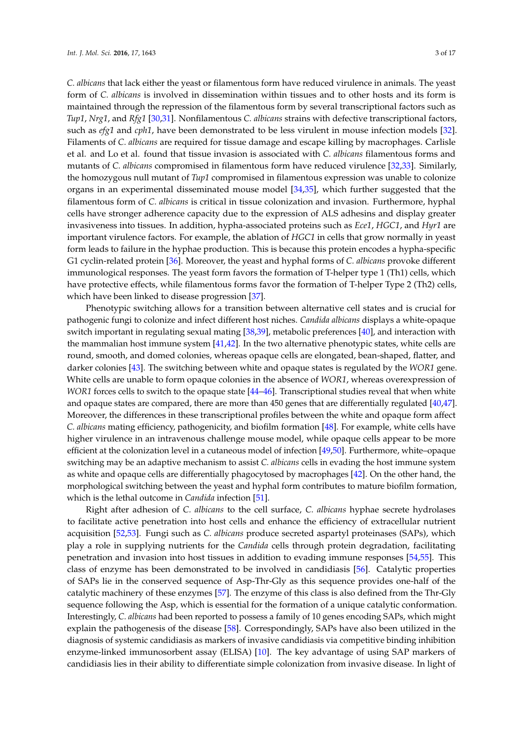*C. albicans* that lack either the yeast or filamentous form have reduced virulence in animals. The yeast form of *C. albicans* is involved in dissemination within tissues and to other hosts and its form is maintained through the repression of the filamentous form by several transcriptional factors such as *Tup1*, *Nrg1*, and *Rfg1* [\[30,](#page-11-12)[31\]](#page-11-13). Nonfilamentous *C. albicans* strains with defective transcriptional factors, such as *efg1* and *cph1*, have been demonstrated to be less virulent in mouse infection models [\[32\]](#page-11-14). Filaments of *C. albicans* are required for tissue damage and escape killing by macrophages. Carlisle et al. and Lo et al. found that tissue invasion is associated with *C. albicans* filamentous forms and mutants of *C. albicans* compromised in filamentous form have reduced virulence [\[32,](#page-11-14)[33\]](#page-11-15). Similarly, the homozygous null mutant of *Tup1* compromised in filamentous expression was unable to colonize organs in an experimental disseminated mouse model [\[34](#page-11-16)[,35\]](#page-11-17), which further suggested that the filamentous form of *C. albicans* is critical in tissue colonization and invasion. Furthermore, hyphal cells have stronger adherence capacity due to the expression of ALS adhesins and display greater invasiveness into tissues. In addition, hypha-associated proteins such as *Ece1*, *HGC1*, and *Hyr1* are important virulence factors. For example, the ablation of *HGC1* in cells that grow normally in yeast form leads to failure in the hyphae production. This is because this protein encodes a hypha-specific G1 cyclin-related protein [\[36\]](#page-12-0). Moreover, the yeast and hyphal forms of *C. albicans* provoke different immunological responses. The yeast form favors the formation of T-helper type 1 (Th1) cells, which have protective effects, while filamentous forms favor the formation of T-helper Type 2 (Th2) cells, which have been linked to disease progression [\[37\]](#page-12-1).

Phenotypic switching allows for a transition between alternative cell states and is crucial for pathogenic fungi to colonize and infect different host niches. *Candida albicans* displays a white-opaque switch important in regulating sexual mating [\[38](#page-12-2)[,39\]](#page-12-3), metabolic preferences [\[40\]](#page-12-4), and interaction with the mammalian host immune system [\[41,](#page-12-5)[42\]](#page-12-6). In the two alternative phenotypic states, white cells are round, smooth, and domed colonies, whereas opaque cells are elongated, bean-shaped, flatter, and darker colonies [\[43\]](#page-12-7). The switching between white and opaque states is regulated by the *WOR1* gene. White cells are unable to form opaque colonies in the absence of *WOR1*, whereas overexpression of *WOR1* forces cells to switch to the opaque state [\[44–](#page-12-8)[46\]](#page-12-9). Transcriptional studies reveal that when white and opaque states are compared, there are more than 450 genes that are differentially regulated [\[40](#page-12-4)[,47\]](#page-12-10). Moreover, the differences in these transcriptional profiles between the white and opaque form affect *C. albicans* mating efficiency, pathogenicity, and biofilm formation [\[48\]](#page-12-11). For example, white cells have higher virulence in an intravenous challenge mouse model, while opaque cells appear to be more efficient at the colonization level in a cutaneous model of infection [\[49](#page-12-12)[,50\]](#page-12-13). Furthermore, white–opaque switching may be an adaptive mechanism to assist *C. albicans* cells in evading the host immune system as white and opaque cells are differentially phagocytosed by macrophages [\[42\]](#page-12-6). On the other hand, the morphological switching between the yeast and hyphal form contributes to mature biofilm formation, which is the lethal outcome in *Candida* infection [\[51\]](#page-12-14).

Right after adhesion of *C. albicans* to the cell surface, *C. albicans* hyphae secrete hydrolases to facilitate active penetration into host cells and enhance the efficiency of extracellular nutrient acquisition [\[52](#page-12-15)[,53\]](#page-12-16). Fungi such as *C. albicans* produce secreted aspartyl proteinases (SAPs), which play a role in supplying nutrients for the *Candida* cells through protein degradation, facilitating penetration and invasion into host tissues in addition to evading immune responses [\[54](#page-12-17)[,55\]](#page-12-18). This class of enzyme has been demonstrated to be involved in candidiasis [\[56\]](#page-13-0). Catalytic properties of SAPs lie in the conserved sequence of Asp-Thr-Gly as this sequence provides one-half of the catalytic machinery of these enzymes [\[57\]](#page-13-1). The enzyme of this class is also defined from the Thr-Gly sequence following the Asp, which is essential for the formation of a unique catalytic conformation. Interestingly, *C. albicans* had been reported to possess a family of 10 genes encoding SAPs, which might explain the pathogenesis of the disease [\[58\]](#page-13-2). Correspondingly, SAPs have also been utilized in the diagnosis of systemic candidiasis as markers of invasive candidiasis via competitive binding inhibition enzyme-linked immunosorbent assay (ELISA) [\[10\]](#page-10-14). The key advantage of using SAP markers of candidiasis lies in their ability to differentiate simple colonization from invasive disease. In light of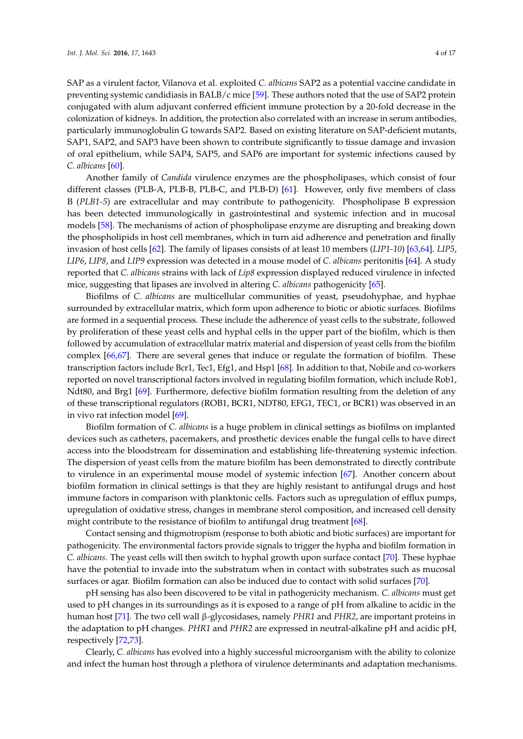SAP as a virulent factor, Vilanova et al. exploited *C. albicans* SAP2 as a potential vaccine candidate in preventing systemic candidiasis in BALB/c mice [\[59\]](#page-13-3). These authors noted that the use of SAP2 protein conjugated with alum adjuvant conferred efficient immune protection by a 20-fold decrease in the colonization of kidneys. In addition, the protection also correlated with an increase in serum antibodies, particularly immunoglobulin G towards SAP2. Based on existing literature on SAP-deficient mutants, SAP1, SAP2, and SAP3 have been shown to contribute significantly to tissue damage and invasion of oral epithelium, while SAP4, SAP5, and SAP6 are important for systemic infections caused by *C. albicans* [\[60\]](#page-13-4).

Another family of *Candida* virulence enzymes are the phospholipases, which consist of four different classes (PLB-A, PLB-B, PLB-C, and PLB-D) [\[61\]](#page-13-5). However, only five members of class B (*PLB1-5*) are extracellular and may contribute to pathogenicity. Phospholipase B expression has been detected immunologically in gastrointestinal and systemic infection and in mucosal models [\[58\]](#page-13-2). The mechanisms of action of phospholipase enzyme are disrupting and breaking down the phospholipids in host cell membranes, which in turn aid adherence and penetration and finally invasion of host cells [\[62\]](#page-13-6). The family of lipases consists of at least 10 members (*LIP1-10*) [\[63](#page-13-7)[,64\]](#page-13-8). *LIP5*, *LIP6*, *LIP8*, and *LIP9* expression was detected in a mouse model of *C. albicans* peritonitis [\[64\]](#page-13-8). A study reported that *C. albicans* strains with lack of *Lip8* expression displayed reduced virulence in infected mice, suggesting that lipases are involved in altering *C. albicans* pathogenicity [\[65\]](#page-13-9).

Biofilms of *C. albicans* are multicellular communities of yeast, pseudohyphae, and hyphae surrounded by extracellular matrix, which form upon adherence to biotic or abiotic surfaces. Biofilms are formed in a sequential process. These include the adherence of yeast cells to the substrate, followed by proliferation of these yeast cells and hyphal cells in the upper part of the biofilm, which is then followed by accumulation of extracellular matrix material and dispersion of yeast cells from the biofilm complex [\[66](#page-13-10)[,67\]](#page-13-11). There are several genes that induce or regulate the formation of biofilm. These transcription factors include Bcr1, Tec1, Efg1, and Hsp1 [\[68\]](#page-13-12). In addition to that, Nobile and co-workers reported on novel transcriptional factors involved in regulating biofilm formation, which include Rob1, Ndt80, and Brg1 [\[69\]](#page-13-13). Furthermore, defective biofilm formation resulting from the deletion of any of these transcriptional regulators (ROB1, BCR1, NDT80, EFG1, TEC1, or BCR1) was observed in an in vivo rat infection model [\[69\]](#page-13-13).

Biofilm formation of *C. albicans* is a huge problem in clinical settings as biofilms on implanted devices such as catheters, pacemakers, and prosthetic devices enable the fungal cells to have direct access into the bloodstream for dissemination and establishing life-threatening systemic infection. The dispersion of yeast cells from the mature biofilm has been demonstrated to directly contribute to virulence in an experimental mouse model of systemic infection [\[67\]](#page-13-11). Another concern about biofilm formation in clinical settings is that they are highly resistant to antifungal drugs and host immune factors in comparison with planktonic cells. Factors such as upregulation of efflux pumps, upregulation of oxidative stress, changes in membrane sterol composition, and increased cell density might contribute to the resistance of biofilm to antifungal drug treatment [\[68\]](#page-13-12).

Contact sensing and thigmotropism (response to both abiotic and biotic surfaces) are important for pathogenicity. The environmental factors provide signals to trigger the hypha and biofilm formation in *C. albicans*. The yeast cells will then switch to hyphal growth upon surface contact [\[70\]](#page-13-14). These hyphae have the potential to invade into the substratum when in contact with substrates such as mucosal surfaces or agar. Biofilm formation can also be induced due to contact with solid surfaces [\[70\]](#page-13-14).

pH sensing has also been discovered to be vital in pathogenicity mechanism. *C. albicans* must get used to pH changes in its surroundings as it is exposed to a range of pH from alkaline to acidic in the human host [\[71\]](#page-13-15). The two cell wall β-glycosidases, namely *PHR1* and *PHR2*, are important proteins in the adaptation to pH changes. *PHR1* and *PHR2* are expressed in neutral-alkaline pH and acidic pH, respectively [\[72,](#page-13-16)[73\]](#page-13-17).

Clearly, *C. albicans* has evolved into a highly successful microorganism with the ability to colonize and infect the human host through a plethora of virulence determinants and adaptation mechanisms.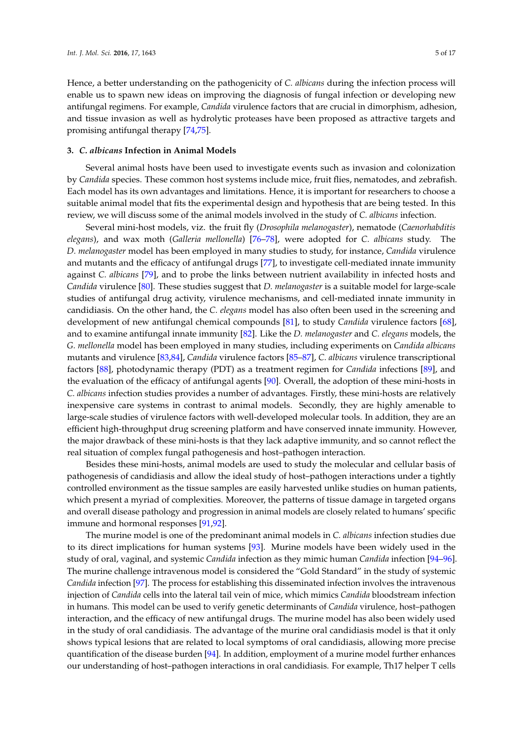Hence, a better understanding on the pathogenicity of *C. albicans* during the infection process will enable us to spawn new ideas on improving the diagnosis of fungal infection or developing new antifungal regimens. For example, *Candida* virulence factors that are crucial in dimorphism, adhesion, and tissue invasion as well as hydrolytic proteases have been proposed as attractive targets and promising antifungal therapy [\[74,](#page-13-18)[75\]](#page-13-19).

#### **3.** *C. albicans* **Infection in Animal Models**

Several animal hosts have been used to investigate events such as invasion and colonization by *Candida* species. These common host systems include mice, fruit flies, nematodes, and zebrafish. Each model has its own advantages and limitations. Hence, it is important for researchers to choose a suitable animal model that fits the experimental design and hypothesis that are being tested. In this review, we will discuss some of the animal models involved in the study of *C. albicans* infection.

Several mini-host models, viz. the fruit fly (*Drosophila melanogaster*), nematode (*Caenorhabditis elegans*), and wax moth (*Galleria mellonella*) [\[76–](#page-13-20)[78\]](#page-14-0), were adopted for *C. albicans* study. The *D. melanogaster* model has been employed in many studies to study, for instance, *Candida* virulence and mutants and the efficacy of antifungal drugs [\[77\]](#page-13-21), to investigate cell-mediated innate immunity against *C. albicans* [\[79\]](#page-14-1), and to probe the links between nutrient availability in infected hosts and *Candida* virulence [\[80\]](#page-14-2). These studies suggest that *D. melanogaster* is a suitable model for large-scale studies of antifungal drug activity, virulence mechanisms, and cell-mediated innate immunity in candidiasis. On the other hand, the *C. elegans* model has also often been used in the screening and development of new antifungal chemical compounds [\[81\]](#page-14-3), to study *Candida* virulence factors [\[68\]](#page-13-12), and to examine antifungal innate immunity [\[82\]](#page-14-4). Like the *D. melanogaster* and *C. elegans* models, the *G. mellonella* model has been employed in many studies, including experiments on *Candida albicans* mutants and virulence [\[83](#page-14-5)[,84\]](#page-14-6), *Candida* virulence factors [\[85](#page-14-7)[–87\]](#page-14-8), *C. albicans* virulence transcriptional factors [\[88\]](#page-14-9), photodynamic therapy (PDT) as a treatment regimen for *Candida* infections [\[89\]](#page-14-10), and the evaluation of the efficacy of antifungal agents [\[90\]](#page-14-11). Overall, the adoption of these mini-hosts in *C. albicans* infection studies provides a number of advantages. Firstly, these mini-hosts are relatively inexpensive care systems in contrast to animal models. Secondly, they are highly amenable to large-scale studies of virulence factors with well-developed molecular tools. In addition, they are an efficient high-throughput drug screening platform and have conserved innate immunity. However, the major drawback of these mini-hosts is that they lack adaptive immunity, and so cannot reflect the real situation of complex fungal pathogenesis and host–pathogen interaction.

Besides these mini-hosts, animal models are used to study the molecular and cellular basis of pathogenesis of candidiasis and allow the ideal study of host–pathogen interactions under a tightly controlled environment as the tissue samples are easily harvested unlike studies on human patients, which present a myriad of complexities. Moreover, the patterns of tissue damage in targeted organs and overall disease pathology and progression in animal models are closely related to humans' specific immune and hormonal responses [\[91](#page-14-12)[,92\]](#page-14-13).

The murine model is one of the predominant animal models in *C. albicans* infection studies due to its direct implications for human systems [\[93\]](#page-14-14). Murine models have been widely used in the study of oral, vaginal, and systemic *Candida* infection as they mimic human *Candida* infection [\[94–](#page-14-15)[96\]](#page-14-16). The murine challenge intravenous model is considered the "Gold Standard" in the study of systemic *Candida* infection [\[97\]](#page-14-17). The process for establishing this disseminated infection involves the intravenous injection of *Candida* cells into the lateral tail vein of mice, which mimics *Candida* bloodstream infection in humans. This model can be used to verify genetic determinants of *Candida* virulence, host–pathogen interaction, and the efficacy of new antifungal drugs. The murine model has also been widely used in the study of oral candidiasis. The advantage of the murine oral candidiasis model is that it only shows typical lesions that are related to local symptoms of oral candidiasis, allowing more precise quantification of the disease burden [\[94\]](#page-14-15). In addition, employment of a murine model further enhances our understanding of host–pathogen interactions in oral candidiasis. For example, Th17 helper T cells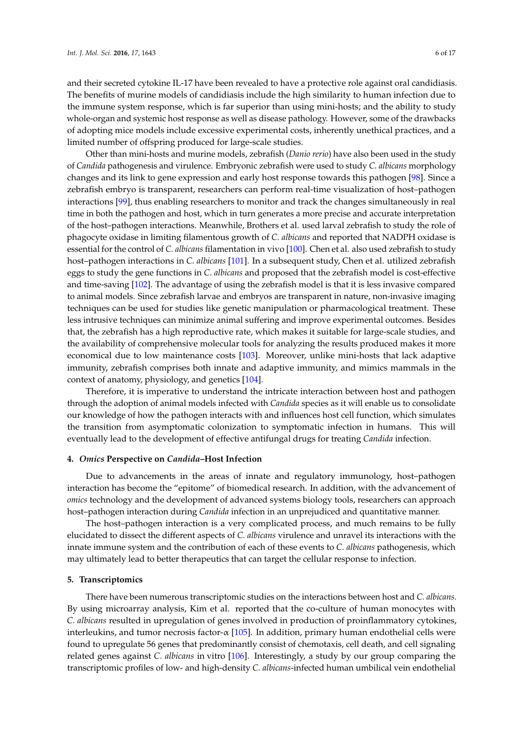and their secreted cytokine IL-17 have been revealed to have a protective role against oral candidiasis. The benefits of murine models of candidiasis include the high similarity to human infection due to the immune system response, which is far superior than using mini-hosts; and the ability to study whole-organ and systemic host response as well as disease pathology. However, some of the drawbacks of adopting mice models include excessive experimental costs, inherently unethical practices, and a limited number of offspring produced for large-scale studies.

Other than mini-hosts and murine models, zebrafish (*Danio rerio*) have also been used in the study of *Candida* pathogenesis and virulence. Embryonic zebrafish were used to study *C. albicans* morphology changes and its link to gene expression and early host response towards this pathogen [\[98\]](#page-15-0). Since a zebrafish embryo is transparent, researchers can perform real-time visualization of host–pathogen interactions [\[99\]](#page-15-1), thus enabling researchers to monitor and track the changes simultaneously in real time in both the pathogen and host, which in turn generates a more precise and accurate interpretation of the host–pathogen interactions. Meanwhile, Brothers et al. used larval zebrafish to study the role of phagocyte oxidase in limiting filamentous growth of *C. albicans* and reported that NADPH oxidase is essential for the control of *C. albicans* filamentation in vivo [\[100\]](#page-15-2). Chen et al. also used zebrafish to study host–pathogen interactions in *C. albicans* [\[101\]](#page-15-3). In a subsequent study, Chen et al. utilized zebrafish eggs to study the gene functions in *C*. *albicans* and proposed that the zebrafish model is cost-effective and time-saving [\[102\]](#page-15-4). The advantage of using the zebrafish model is that it is less invasive compared to animal models. Since zebrafish larvae and embryos are transparent in nature, non-invasive imaging techniques can be used for studies like genetic manipulation or pharmacological treatment. These less intrusive techniques can minimize animal suffering and improve experimental outcomes. Besides that, the zebrafish has a high reproductive rate, which makes it suitable for large-scale studies, and the availability of comprehensive molecular tools for analyzing the results produced makes it more economical due to low maintenance costs [\[103\]](#page-15-5). Moreover, unlike mini-hosts that lack adaptive immunity, zebrafish comprises both innate and adaptive immunity, and mimics mammals in the context of anatomy, physiology, and genetics [\[104\]](#page-15-6).

Therefore, it is imperative to understand the intricate interaction between host and pathogen through the adoption of animal models infected with *Candida* species as it will enable us to consolidate our knowledge of how the pathogen interacts with and influences host cell function, which simulates the transition from asymptomatic colonization to symptomatic infection in humans. This will eventually lead to the development of effective antifungal drugs for treating *Candida* infection.

#### **4.** *Omics* **Perspective on** *Candida***–Host Infection**

Due to advancements in the areas of innate and regulatory immunology, host–pathogen interaction has become the "epitome" of biomedical research. In addition, with the advancement of *omics* technology and the development of advanced systems biology tools, researchers can approach host–pathogen interaction during *Candida* infection in an unprejudiced and quantitative manner.

The host–pathogen interaction is a very complicated process, and much remains to be fully elucidated to dissect the different aspects of *C. albicans* virulence and unravel its interactions with the innate immune system and the contribution of each of these events to *C. albicans* pathogenesis, which may ultimately lead to better therapeutics that can target the cellular response to infection.

#### **5. Transcriptomics**

There have been numerous transcriptomic studies on the interactions between host and *C. albicans.* By using microarray analysis, Kim et al. reported that the co-culture of human monocytes with *C. albicans* resulted in upregulation of genes involved in production of proinflammatory cytokines, interleukins, and tumor necrosis factor- $\alpha$  [\[105\]](#page-15-7). In addition, primary human endothelial cells were found to upregulate 56 genes that predominantly consist of chemotaxis, cell death, and cell signaling related genes against *C. albicans* in vitro [\[106\]](#page-15-8). Interestingly, a study by our group comparing the transcriptomic profiles of low- and high-density *C. albicans*-infected human umbilical vein endothelial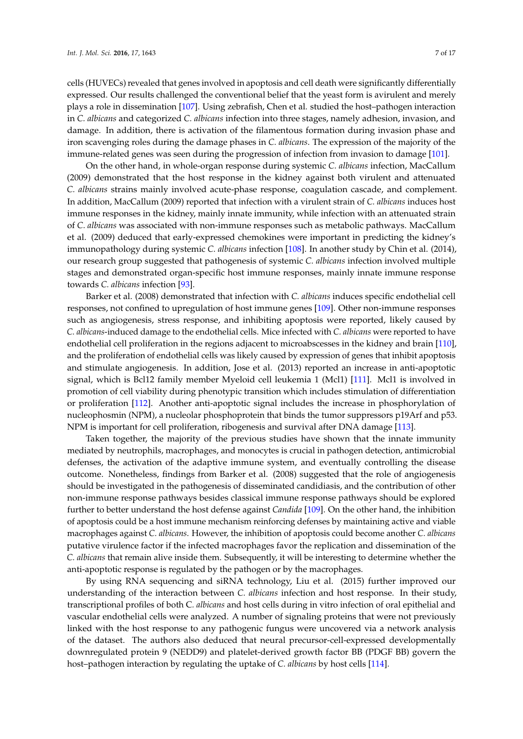cells (HUVECs) revealed that genes involved in apoptosis and cell death were significantly differentially expressed. Our results challenged the conventional belief that the yeast form is avirulent and merely plays a role in dissemination [\[107\]](#page-15-9). Using zebrafish, Chen et al. studied the host–pathogen interaction in *C. albicans* and categorized *C. albicans* infection into three stages, namely adhesion, invasion, and damage. In addition, there is activation of the filamentous formation during invasion phase and iron scavenging roles during the damage phases in *C. albicans*. The expression of the majority of the immune-related genes was seen during the progression of infection from invasion to damage [\[101\]](#page-15-3).

On the other hand, in whole-organ response during systemic *C. albicans* infection, MacCallum (2009) demonstrated that the host response in the kidney against both virulent and attenuated *C. albicans* strains mainly involved acute-phase response, coagulation cascade, and complement. In addition, MacCallum (2009) reported that infection with a virulent strain of *C. albicans* induces host immune responses in the kidney, mainly innate immunity, while infection with an attenuated strain of *C. albicans* was associated with non-immune responses such as metabolic pathways. MacCallum et al. (2009) deduced that early-expressed chemokines were important in predicting the kidney's immunopathology during systemic *C. albicans* infection [\[108\]](#page-15-10). In another study by Chin et al. (2014), our research group suggested that pathogenesis of systemic *C. albicans* infection involved multiple stages and demonstrated organ-specific host immune responses, mainly innate immune response towards *C. albicans* infection [\[93\]](#page-14-14).

Barker et al. (2008) demonstrated that infection with *C. albicans* induces specific endothelial cell responses, not confined to upregulation of host immune genes [\[109\]](#page-15-11). Other non-immune responses such as angiogenesis, stress response, and inhibiting apoptosis were reported, likely caused by *C. albicans*-induced damage to the endothelial cells. Mice infected with *C. albicans* were reported to have endothelial cell proliferation in the regions adjacent to microabscesses in the kidney and brain [\[110\]](#page-15-12), and the proliferation of endothelial cells was likely caused by expression of genes that inhibit apoptosis and stimulate angiogenesis. In addition, Jose et al. (2013) reported an increase in anti-apoptotic signal, which is Bcl12 family member Myeloid cell leukemia 1 (Mcl1) [\[111\]](#page-15-13). Mcl1 is involved in promotion of cell viability during phenotypic transition which includes stimulation of differentiation or proliferation [\[112\]](#page-15-14). Another anti-apoptotic signal includes the increase in phosphorylation of nucleophosmin (NPM), a nucleolar phosphoprotein that binds the tumor suppressors p19Arf and p53. NPM is important for cell proliferation, ribogenesis and survival after DNA damage [\[113\]](#page-15-15).

Taken together, the majority of the previous studies have shown that the innate immunity mediated by neutrophils, macrophages, and monocytes is crucial in pathogen detection, antimicrobial defenses, the activation of the adaptive immune system, and eventually controlling the disease outcome. Nonetheless, findings from Barker et al. (2008) suggested that the role of angiogenesis should be investigated in the pathogenesis of disseminated candidiasis, and the contribution of other non-immune response pathways besides classical immune response pathways should be explored further to better understand the host defense against *Candida* [\[109\]](#page-15-11). On the other hand, the inhibition of apoptosis could be a host immune mechanism reinforcing defenses by maintaining active and viable macrophages against *C. albicans*. However, the inhibition of apoptosis could become another *C. albicans* putative virulence factor if the infected macrophages favor the replication and dissemination of the *C. albicans* that remain alive inside them. Subsequently, it will be interesting to determine whether the anti-apoptotic response is regulated by the pathogen or by the macrophages.

By using RNA sequencing and siRNA technology, Liu et al. (2015) further improved our understanding of the interaction between *C. albicans* infection and host response. In their study, transcriptional profiles of both C*. albicans* and host cells during in vitro infection of oral epithelial and vascular endothelial cells were analyzed. A number of signaling proteins that were not previously linked with the host response to any pathogenic fungus were uncovered via a network analysis of the dataset. The authors also deduced that neural precursor-cell-expressed developmentally downregulated protein 9 (NEDD9) and platelet-derived growth factor BB (PDGF BB) govern the host–pathogen interaction by regulating the uptake of *C. albicans* by host cells [\[114\]](#page-15-16).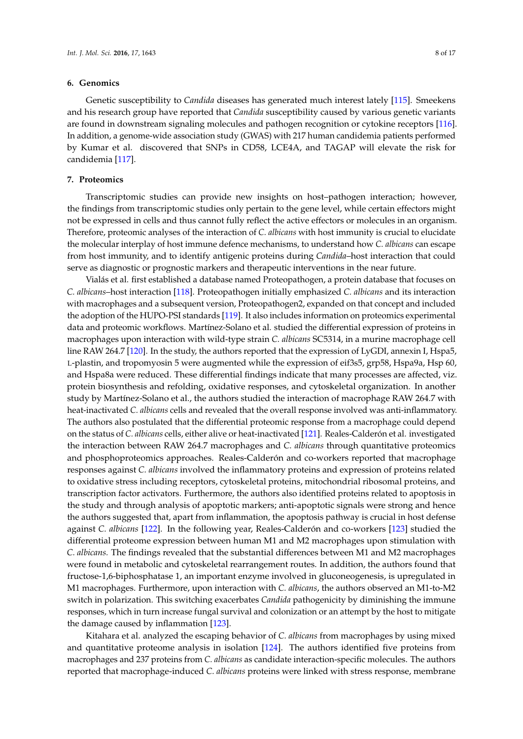#### **6. Genomics**

Genetic susceptibility to *Candida* diseases has generated much interest lately [\[115\]](#page-15-17). Smeekens and his research group have reported that *Candida* susceptibility caused by various genetic variants are found in downstream signaling molecules and pathogen recognition or cytokine receptors [\[116\]](#page-15-18). In addition, a genome-wide association study (GWAS) with 217 human candidemia patients performed by Kumar et al. discovered that SNPs in CD58, LCE4A, and TAGAP will elevate the risk for candidemia [\[117\]](#page-15-19).

#### **7. Proteomics**

Transcriptomic studies can provide new insights on host–pathogen interaction; however, the findings from transcriptomic studies only pertain to the gene level, while certain effectors might not be expressed in cells and thus cannot fully reflect the active effectors or molecules in an organism. Therefore, proteomic analyses of the interaction of *C. albicans* with host immunity is crucial to elucidate the molecular interplay of host immune defence mechanisms, to understand how *C. albicans* can escape from host immunity, and to identify antigenic proteins during *Candida*–host interaction that could serve as diagnostic or prognostic markers and therapeutic interventions in the near future.

Vialás et al. first established a database named Proteopathogen, a protein database that focuses on *C. albicans*–host interaction [\[118\]](#page-15-20). Proteopathogen initially emphasized *C. albicans* and its interaction with macrophages and a subsequent version, Proteopathogen2, expanded on that concept and included the adoption of the HUPO-PSI standards [\[119\]](#page-15-21). It also includes information on proteomics experimental data and proteomic workflows. Martínez-Solano et al. studied the differential expression of proteins in macrophages upon interaction with wild-type strain *C. albicans* SC5314, in a murine macrophage cell line RAW 264.7 [\[120\]](#page-16-0). In the study, the authors reported that the expression of LyGDI, annexin I, Hspa5, L-plastin, and tropomyosin 5 were augmented while the expression of eif3s5, grp58, Hspa9a, Hsp 60, and Hspa8a were reduced. These differential findings indicate that many processes are affected, viz. protein biosynthesis and refolding, oxidative responses, and cytoskeletal organization. In another study by Martínez-Solano et al., the authors studied the interaction of macrophage RAW 264.7 with heat-inactivated *C. albicans* cells and revealed that the overall response involved was anti-inflammatory. The authors also postulated that the differential proteomic response from a macrophage could depend on the status of *C. albicans* cells, either alive or heat-inactivated [\[121\]](#page-16-1). Reales-Calderón et al. investigated the interaction between RAW 264.7 macrophages and *C. albicans* through quantitative proteomics and phosphoproteomics approaches. Reales-Calderón and co-workers reported that macrophage responses against *C. albicans* involved the inflammatory proteins and expression of proteins related to oxidative stress including receptors, cytoskeletal proteins, mitochondrial ribosomal proteins, and transcription factor activators. Furthermore, the authors also identified proteins related to apoptosis in the study and through analysis of apoptotic markers; anti-apoptotic signals were strong and hence the authors suggested that, apart from inflammation, the apoptosis pathway is crucial in host defense against *C. albicans* [\[122\]](#page-16-2). In the following year, Reales-Calderón and co-workers [\[123\]](#page-16-3) studied the differential proteome expression between human M1 and M2 macrophages upon stimulation with *C. albicans.* The findings revealed that the substantial differences between M1 and M2 macrophages were found in metabolic and cytoskeletal rearrangement routes. In addition, the authors found that fructose-1,6-biphosphatase 1, an important enzyme involved in gluconeogenesis, is upregulated in M1 macrophages. Furthermore, upon interaction with *C. albicans*, the authors observed an M1-to-M2 switch in polarization. This switching exacerbates *Candida* pathogenicity by diminishing the immune responses, which in turn increase fungal survival and colonization or an attempt by the host to mitigate the damage caused by inflammation [\[123\]](#page-16-3).

Kitahara et al. analyzed the escaping behavior of *C. albicans* from macrophages by using mixed and quantitative proteome analysis in isolation [\[124\]](#page-16-4). The authors identified five proteins from macrophages and 237 proteins from *C. albicans* as candidate interaction-specific molecules. The authors reported that macrophage-induced *C. albicans* proteins were linked with stress response, membrane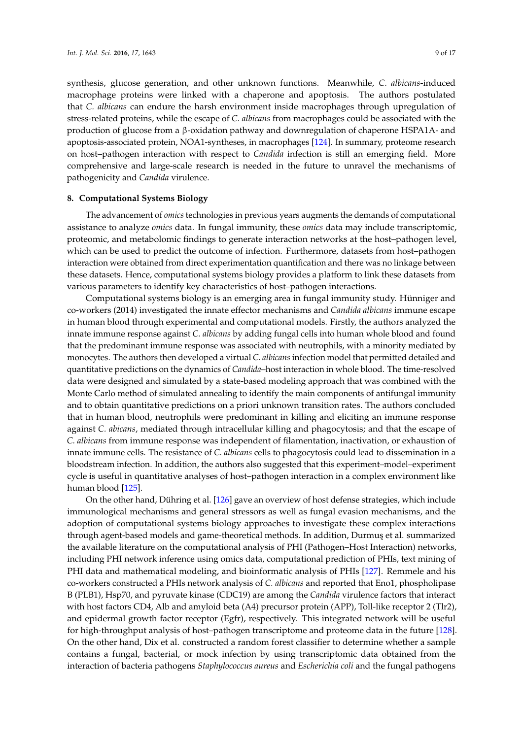synthesis, glucose generation, and other unknown functions. Meanwhile, *C. albicans*-induced macrophage proteins were linked with a chaperone and apoptosis. The authors postulated that *C. albicans* can endure the harsh environment inside macrophages through upregulation of stress-related proteins, while the escape of *C. albicans* from macrophages could be associated with the production of glucose from a β-oxidation pathway and downregulation of chaperone HSPA1A- and apoptosis-associated protein, NOA1-syntheses, in macrophages [\[124\]](#page-16-4). In summary, proteome research on host–pathogen interaction with respect to *Candida* infection is still an emerging field. More comprehensive and large-scale research is needed in the future to unravel the mechanisms of pathogenicity and *Candida* virulence.

#### **8. Computational Systems Biology**

The advancement of *omics* technologies in previous years augments the demands of computational assistance to analyze *omics* data. In fungal immunity, these *omics* data may include transcriptomic, proteomic, and metabolomic findings to generate interaction networks at the host–pathogen level, which can be used to predict the outcome of infection. Furthermore, datasets from host–pathogen interaction were obtained from direct experimentation quantification and there was no linkage between these datasets. Hence, computational systems biology provides a platform to link these datasets from various parameters to identify key characteristics of host–pathogen interactions.

Computational systems biology is an emerging area in fungal immunity study. Hünniger and co-workers (2014) investigated the innate effector mechanisms and *Candida albicans* immune escape in human blood through experimental and computational models. Firstly, the authors analyzed the innate immune response against *C. albicans* by adding fungal cells into human whole blood and found that the predominant immune response was associated with neutrophils, with a minority mediated by monocytes. The authors then developed a virtual *C. albicans* infection model that permitted detailed and quantitative predictions on the dynamics of *Candida*–host interaction in whole blood. The time-resolved data were designed and simulated by a state-based modeling approach that was combined with the Monte Carlo method of simulated annealing to identify the main components of antifungal immunity and to obtain quantitative predictions on a priori unknown transition rates. The authors concluded that in human blood, neutrophils were predominant in killing and eliciting an immune response against *C. abicans*, mediated through intracellular killing and phagocytosis; and that the escape of *C. albicans* from immune response was independent of filamentation, inactivation, or exhaustion of innate immune cells. The resistance of *C. albicans* cells to phagocytosis could lead to dissemination in a bloodstream infection. In addition, the authors also suggested that this experiment–model–experiment cycle is useful in quantitative analyses of host–pathogen interaction in a complex environment like human blood [\[125\]](#page-16-5).

On the other hand, Dühring et al. [\[126\]](#page-16-6) gave an overview of host defense strategies, which include immunological mechanisms and general stressors as well as fungal evasion mechanisms, and the adoption of computational systems biology approaches to investigate these complex interactions through agent-based models and game-theoretical methods. In addition, Durmuş et al. summarized the available literature on the computational analysis of PHI (Pathogen–Host Interaction) networks, including PHI network inference using omics data, computational prediction of PHIs, text mining of PHI data and mathematical modeling, and bioinformatic analysis of PHIs [\[127\]](#page-16-7). Remmele and his co-workers constructed a PHIs network analysis of *C. albicans* and reported that Eno1, phospholipase B (PLB1), Hsp70, and pyruvate kinase (CDC19) are among the *Candida* virulence factors that interact with host factors CD4, Alb and amyloid beta (A4) precursor protein (APP), Toll-like receptor 2 (Tlr2), and epidermal growth factor receptor (Egfr), respectively. This integrated network will be useful for high-throughput analysis of host–pathogen transcriptome and proteome data in the future [\[128\]](#page-16-8). On the other hand, Dix et al. constructed a random forest classifier to determine whether a sample contains a fungal, bacterial, or mock infection by using transcriptomic data obtained from the interaction of bacteria pathogens *Staphylococcus aureus* and *Escherichia coli* and the fungal pathogens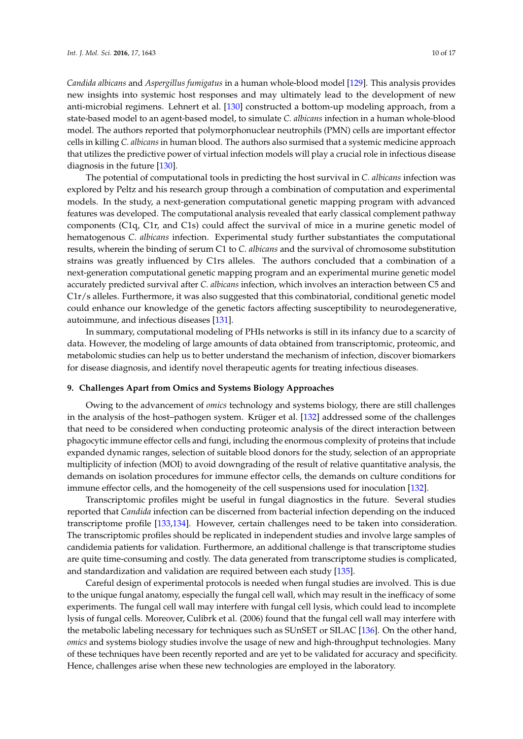*Candida albicans* and *Aspergillus fumigatus* in a human whole-blood model [\[129\]](#page-16-9). This analysis provides new insights into systemic host responses and may ultimately lead to the development of new anti-microbial regimens. Lehnert et al. [\[130\]](#page-16-10) constructed a bottom-up modeling approach, from a state-based model to an agent-based model, to simulate *C. albicans* infection in a human whole-blood model. The authors reported that polymorphonuclear neutrophils (PMN) cells are important effector cells in killing *C. albicans* in human blood. The authors also surmised that a systemic medicine approach that utilizes the predictive power of virtual infection models will play a crucial role in infectious disease diagnosis in the future [\[130\]](#page-16-10).

The potential of computational tools in predicting the host survival in *C. albicans* infection was explored by Peltz and his research group through a combination of computation and experimental models. In the study, a next-generation computational genetic mapping program with advanced features was developed. The computational analysis revealed that early classical complement pathway components (C1q, C1r, and C1s) could affect the survival of mice in a murine genetic model of hematogenous *C. albicans* infection. Experimental study further substantiates the computational results, wherein the binding of serum C1 to *C. albicans* and the survival of chromosome substitution strains was greatly influenced by C1rs alleles. The authors concluded that a combination of a next-generation computational genetic mapping program and an experimental murine genetic model accurately predicted survival after *C. albicans* infection, which involves an interaction between C5 and C1r/s alleles. Furthermore, it was also suggested that this combinatorial, conditional genetic model could enhance our knowledge of the genetic factors affecting susceptibility to neurodegenerative, autoimmune, and infectious diseases [\[131\]](#page-16-11).

In summary, computational modeling of PHIs networks is still in its infancy due to a scarcity of data. However, the modeling of large amounts of data obtained from transcriptomic, proteomic, and metabolomic studies can help us to better understand the mechanism of infection, discover biomarkers for disease diagnosis, and identify novel therapeutic agents for treating infectious diseases.

#### **9. Challenges Apart from Omics and Systems Biology Approaches**

Owing to the advancement of *omics* technology and systems biology, there are still challenges in the analysis of the host–pathogen system. Krüger et al. [\[132\]](#page-16-12) addressed some of the challenges that need to be considered when conducting proteomic analysis of the direct interaction between phagocytic immune effector cells and fungi, including the enormous complexity of proteins that include expanded dynamic ranges, selection of suitable blood donors for the study, selection of an appropriate multiplicity of infection (MOI) to avoid downgrading of the result of relative quantitative analysis, the demands on isolation procedures for immune effector cells, the demands on culture conditions for immune effector cells, and the homogeneity of the cell suspensions used for inoculation [\[132\]](#page-16-12).

Transcriptomic profiles might be useful in fungal diagnostics in the future. Several studies reported that *Candida* infection can be discerned from bacterial infection depending on the induced transcriptome profile [\[133,](#page-16-13)[134\]](#page-16-14). However, certain challenges need to be taken into consideration. The transcriptomic profiles should be replicated in independent studies and involve large samples of candidemia patients for validation. Furthermore, an additional challenge is that transcriptome studies are quite time-consuming and costly. The data generated from transcriptome studies is complicated, and standardization and validation are required between each study [\[135\]](#page-16-15).

Careful design of experimental protocols is needed when fungal studies are involved. This is due to the unique fungal anatomy, especially the fungal cell wall, which may result in the inefficacy of some experiments. The fungal cell wall may interfere with fungal cell lysis, which could lead to incomplete lysis of fungal cells. Moreover, Culibrk et al. (2006) found that the fungal cell wall may interfere with the metabolic labeling necessary for techniques such as SUnSET or SILAC [\[136\]](#page-16-16). On the other hand, *omics* and systems biology studies involve the usage of new and high-throughput technologies. Many of these techniques have been recently reported and are yet to be validated for accuracy and specificity. Hence, challenges arise when these new technologies are employed in the laboratory.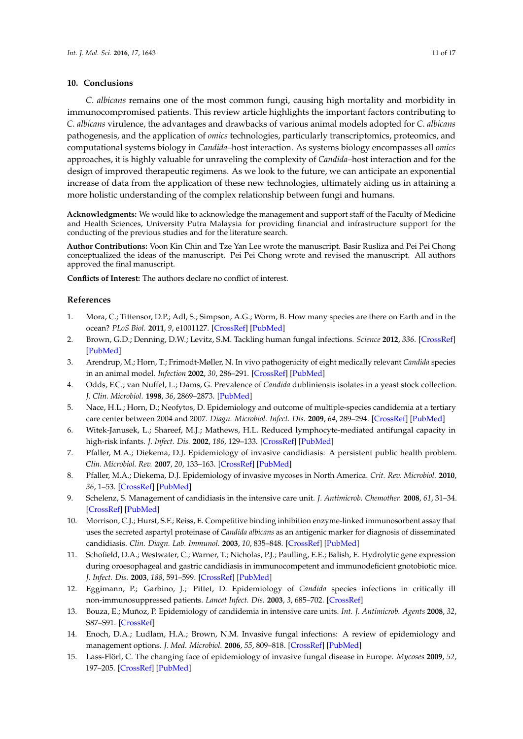#### **10. Conclusions**

*C. albicans* remains one of the most common fungi, causing high mortality and morbidity in immunocompromised patients. This review article highlights the important factors contributing to *C. albicans* virulence, the advantages and drawbacks of various animal models adopted for *C. albicans* pathogenesis, and the application of *omics* technologies, particularly transcriptomics, proteomics, and computational systems biology in *Candida*–host interaction. As systems biology encompasses all *omics* approaches, it is highly valuable for unraveling the complexity of *Candida*–host interaction and for the design of improved therapeutic regimens. As we look to the future, we can anticipate an exponential increase of data from the application of these new technologies, ultimately aiding us in attaining a more holistic understanding of the complex relationship between fungi and humans.

**Acknowledgments:** We would like to acknowledge the management and support staff of the Faculty of Medicine and Health Sciences, University Putra Malaysia for providing financial and infrastructure support for the conducting of the previous studies and for the literature search.

**Author Contributions:** Voon Kin Chin and Tze Yan Lee wrote the manuscript. Basir Rusliza and Pei Pei Chong conceptualized the ideas of the manuscript. Pei Pei Chong wrote and revised the manuscript. All authors approved the final manuscript.

**Conflicts of Interest:** The authors declare no conflict of interest.

#### **References**

- <span id="page-10-0"></span>1. Mora, C.; Tittensor, D.P.; Adl, S.; Simpson, A.G.; Worm, B. How many species are there on Earth and in the ocean? *PLoS Biol.* **2011**, *9*, e1001127. [\[CrossRef\]](http://dx.doi.org/10.1371/journal.pbio.1001127) [\[PubMed\]](http://www.ncbi.nlm.nih.gov/pubmed/21886479)
- <span id="page-10-1"></span>2. Brown, G.D.; Denning, D.W.; Levitz, S.M. Tackling human fungal infections. *Science* **2012**, *336*. [\[CrossRef\]](http://dx.doi.org/10.1126/science.1222236) [\[PubMed\]](http://www.ncbi.nlm.nih.gov/pubmed/22582229)
- <span id="page-10-2"></span>3. Arendrup, M.; Horn, T.; Frimodt-Møller, N. In vivo pathogenicity of eight medically relevant *Candida* species in an animal model. *Infection* **2002**, *30*, 286–291. [\[CrossRef\]](http://dx.doi.org/10.1007/s15010-002-2131-0) [\[PubMed\]](http://www.ncbi.nlm.nih.gov/pubmed/12382088)
- <span id="page-10-3"></span>4. Odds, F.C.; van Nuffel, L.; Dams, G. Prevalence of *Candida* dubliniensis isolates in a yeast stock collection. *J. Clin. Microbiol.* **1998**, *36*, 2869–2873. [\[PubMed\]](http://www.ncbi.nlm.nih.gov/pubmed/9738035)
- <span id="page-10-4"></span>5. Nace, H.L.; Horn, D.; Neofytos, D. Epidemiology and outcome of multiple-species candidemia at a tertiary care center between 2004 and 2007. *Diagn. Microbiol. Infect. Dis.* **2009**, *64*, 289–294. [\[CrossRef\]](http://dx.doi.org/10.1016/j.diagmicrobio.2009.03.010) [\[PubMed\]](http://www.ncbi.nlm.nih.gov/pubmed/19376670)
- <span id="page-10-5"></span>6. Witek-Janusek, L.; Shareef, M.J.; Mathews, H.L. Reduced lymphocyte-mediated antifungal capacity in high-risk infants. *J. Infect. Dis.* **2002**, *186*, 129–133. [\[CrossRef\]](http://dx.doi.org/10.1086/341293) [\[PubMed\]](http://www.ncbi.nlm.nih.gov/pubmed/12089675)
- <span id="page-10-6"></span>7. Pfaller, M.A.; Diekema, D.J. Epidemiology of invasive candidiasis: A persistent public health problem. *Clin. Microbiol. Rev.* **2007**, *20*, 133–163. [\[CrossRef\]](http://dx.doi.org/10.1128/CMR.00029-06) [\[PubMed\]](http://www.ncbi.nlm.nih.gov/pubmed/17223626)
- <span id="page-10-7"></span>8. Pfaller, M.A.; Diekema, D.J. Epidemiology of invasive mycoses in North America. *Crit. Rev. Microbiol.* **2010**, *36*, 1–53. [\[CrossRef\]](http://dx.doi.org/10.3109/10408410903241444) [\[PubMed\]](http://www.ncbi.nlm.nih.gov/pubmed/20088682)
- <span id="page-10-8"></span>9. Schelenz, S. Management of candidiasis in the intensive care unit. *J. Antimicrob. Chemother.* **2008**, *61*, 31–34. [\[CrossRef\]](http://dx.doi.org/10.1093/jac/dkm430) [\[PubMed\]](http://www.ncbi.nlm.nih.gov/pubmed/18063602)
- <span id="page-10-14"></span>10. Morrison, C.J.; Hurst, S.F.; Reiss, E. Competitive binding inhibition enzyme-linked immunosorbent assay that uses the secreted aspartyl proteinase of *Candida albicans* as an antigenic marker for diagnosis of disseminated candidiasis. *Clin. Diagn. Lab. Immunol.* **2003**, *10*, 835–848. [\[CrossRef\]](http://dx.doi.org/10.1128/CDLI.10.5.835-848.2003) [\[PubMed\]](http://www.ncbi.nlm.nih.gov/pubmed/12965914)
- <span id="page-10-9"></span>11. Schofield, D.A.; Westwater, C.; Warner, T.; Nicholas, P.J.; Paulling, E.E.; Balish, E. Hydrolytic gene expression during oroesophageal and gastric candidiasis in immunocompetent and immunodeficient gnotobiotic mice. *J. Infect. Dis.* **2003**, *188*, 591–599. [\[CrossRef\]](http://dx.doi.org/10.1086/377182) [\[PubMed\]](http://www.ncbi.nlm.nih.gov/pubmed/12898449)
- <span id="page-10-10"></span>12. Eggimann, P.; Garbino, J.; Pittet, D. Epidemiology of *Candida* species infections in critically ill non-immunosuppressed patients. *Lancet Infect. Dis.* **2003**, *3*, 685–702. [\[CrossRef\]](http://dx.doi.org/10.1016/S1473-3099(03)00801-6)
- <span id="page-10-11"></span>13. Bouza, E.; Muñoz, P. Epidemiology of candidemia in intensive care units. *Int. J. Antimicrob. Agents* **2008**, *32*, S87–S91. [\[CrossRef\]](http://dx.doi.org/10.1016/S0924-8579(08)70006-2)
- <span id="page-10-12"></span>14. Enoch, D.A.; Ludlam, H.A.; Brown, N.M. Invasive fungal infections: A review of epidemiology and management options. *J. Med. Microbiol.* **2006**, *55*, 809–818. [\[CrossRef\]](http://dx.doi.org/10.1099/jmm.0.46548-0) [\[PubMed\]](http://www.ncbi.nlm.nih.gov/pubmed/16772406)
- <span id="page-10-13"></span>15. Lass-Flörl, C. The changing face of epidemiology of invasive fungal disease in Europe. *Mycoses* **2009**, *52*, 197–205. [\[CrossRef\]](http://dx.doi.org/10.1111/j.1439-0507.2009.01691.x) [\[PubMed\]](http://www.ncbi.nlm.nih.gov/pubmed/19391253)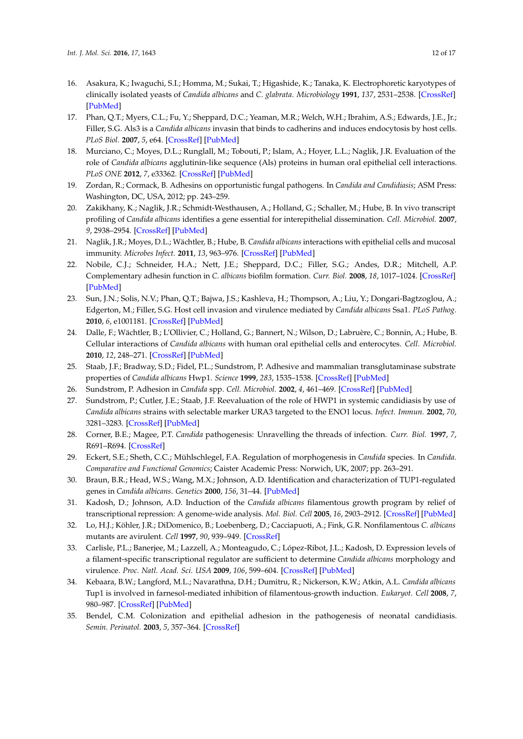- <span id="page-11-0"></span>16. Asakura, K.; Iwaguchi, S.I.; Homma, M.; Sukai, T.; Higashide, K.; Tanaka, K. Electrophoretic karyotypes of clinically isolated yeasts of *Candida albicans* and *C. glabrata*. *Microbiology* **1991**, *137*, 2531–2538. [\[CrossRef\]](http://dx.doi.org/10.1099/00221287-137-11-2531) [\[PubMed\]](http://www.ncbi.nlm.nih.gov/pubmed/1783899)
- <span id="page-11-1"></span>17. Phan, Q.T.; Myers, C.L.; Fu, Y.; Sheppard, D.C.; Yeaman, M.R.; Welch, W.H.; Ibrahim, A.S.; Edwards, J.E., Jr.; Filler, S.G. Als3 is a *Candida albicans* invasin that binds to cadherins and induces endocytosis by host cells. *PLoS Biol.* **2007**, *5*, e64. [\[CrossRef\]](http://dx.doi.org/10.1371/journal.pbio.0050064) [\[PubMed\]](http://www.ncbi.nlm.nih.gov/pubmed/17311474)
- 18. Murciano, C.; Moyes, D.L.; Runglall, M.; Tobouti, P.; Islam, A.; Hoyer, L.L.; Naglik, J.R. Evaluation of the role of *Candida albicans* agglutinin-like sequence (Als) proteins in human oral epithelial cell interactions. *PLoS ONE* **2012**, *7*, e33362. [\[CrossRef\]](http://dx.doi.org/10.1371/journal.pone.0033362) [\[PubMed\]](http://www.ncbi.nlm.nih.gov/pubmed/22428031)
- <span id="page-11-2"></span>19. Zordan, R.; Cormack, B. Adhesins on opportunistic fungal pathogens. In *Candida and Candidiasis*; ASM Press: Washington, DC, USA, 2012; pp. 243–259.
- <span id="page-11-3"></span>20. Zakikhany, K.; Naglik, J.R.; Schmidt-Westhausen, A.; Holland, G.; Schaller, M.; Hube, B. In vivo transcript profiling of *Candida albicans* identifies a gene essential for interepithelial dissemination. *Cell. Microbiol.* **2007**, *9*, 2938–2954. [\[CrossRef\]](http://dx.doi.org/10.1111/j.1462-5822.2007.01009.x) [\[PubMed\]](http://www.ncbi.nlm.nih.gov/pubmed/17645752)
- <span id="page-11-4"></span>21. Naglik, J.R.; Moyes, D.L.; Wächtler, B.; Hube, B. *Candida albicans* interactions with epithelial cells and mucosal immunity. *Microbes Infect.* **2011**, *13*, 963–976. [\[CrossRef\]](http://dx.doi.org/10.1016/j.micinf.2011.06.009) [\[PubMed\]](http://www.ncbi.nlm.nih.gov/pubmed/21801848)
- <span id="page-11-5"></span>22. Nobile, C.J.; Schneider, H.A.; Nett, J.E.; Sheppard, D.C.; Filler, S.G.; Andes, D.R.; Mitchell, A.P. Complementary adhesin function in *C. albicans* biofilm formation. *Curr. Biol.* **2008**, *18*, 1017–1024. [\[CrossRef\]](http://dx.doi.org/10.1016/j.cub.2008.06.034) [\[PubMed\]](http://www.ncbi.nlm.nih.gov/pubmed/18635358)
- <span id="page-11-6"></span>23. Sun, J.N.; Solis, N.V.; Phan, Q.T.; Bajwa, J.S.; Kashleva, H.; Thompson, A.; Liu, Y.; Dongari-Bagtzoglou, A.; Edgerton, M.; Filler, S.G. Host cell invasion and virulence mediated by *Candida albicans* Ssa1. *PLoS Pathog.* **2010**, *6*, e1001181. [\[CrossRef\]](http://dx.doi.org/10.1371/journal.ppat.1001181) [\[PubMed\]](http://www.ncbi.nlm.nih.gov/pubmed/21085601)
- <span id="page-11-7"></span>24. Dalle, F.; Wächtler, B.; L'Ollivier, C.; Holland, G.; Bannert, N.; Wilson, D.; Labruère, C.; Bonnin, A.; Hube, B. Cellular interactions of *Candida albicans* with human oral epithelial cells and enterocytes. *Cell. Microbiol.* **2010**, *12*, 248–271. [\[CrossRef\]](http://dx.doi.org/10.1111/j.1462-5822.2009.01394.x) [\[PubMed\]](http://www.ncbi.nlm.nih.gov/pubmed/19863559)
- <span id="page-11-8"></span>25. Staab, J.F.; Bradway, S.D.; Fidel, P.L.; Sundstrom, P. Adhesive and mammalian transglutaminase substrate properties of *Candida albicans* Hwp1. *Science* **1999**, *283*, 1535–1538. [\[CrossRef\]](http://dx.doi.org/10.1126/science.283.5407.1535) [\[PubMed\]](http://www.ncbi.nlm.nih.gov/pubmed/10066176)
- 26. Sundstrom, P. Adhesion in *Candida* spp. *Cell. Microbiol.* **2002**, *4*, 461–469. [\[CrossRef\]](http://dx.doi.org/10.1046/j.1462-5822.2002.00206.x) [\[PubMed\]](http://www.ncbi.nlm.nih.gov/pubmed/12174081)
- <span id="page-11-9"></span>27. Sundstrom, P.; Cutler, J.E.; Staab, J.F. Reevaluation of the role of HWP1 in systemic candidiasis by use of *Candida albicans* strains with selectable marker URA3 targeted to the ENO1 locus. *Infect. Immun.* **2002**, *70*, 3281–3283. [\[CrossRef\]](http://dx.doi.org/10.1128/IAI.70.6.3281-3283.2002) [\[PubMed\]](http://www.ncbi.nlm.nih.gov/pubmed/12011025)
- <span id="page-11-10"></span>28. Corner, B.E.; Magee, P.T. *Candida* pathogenesis: Unravelling the threads of infection. *Curr. Biol.* **1997**, *7*, R691–R694. [\[CrossRef\]](http://dx.doi.org/10.1016/S0960-9822(06)00357-5)
- <span id="page-11-11"></span>29. Eckert, S.E.; Sheth, C.C.; Mühlschlegel, F.A. Regulation of morphogenesis in *Candida* species. In *Candida. Comparative and Functional Genomics*; Caister Academic Press: Norwich, UK, 2007; pp. 263–291.
- <span id="page-11-12"></span>30. Braun, B.R.; Head, W.S.; Wang, M.X.; Johnson, A.D. Identification and characterization of TUP1-regulated genes in *Candida albicans*. *Genetics* **2000**, *156*, 31–44. [\[PubMed\]](http://www.ncbi.nlm.nih.gov/pubmed/10978273)
- <span id="page-11-13"></span>31. Kadosh, D.; Johnson, A.D. Induction of the *Candida albicans* filamentous growth program by relief of transcriptional repression: A genome-wide analysis. *Mol. Biol. Cell* **2005**, *16*, 2903–2912. [\[CrossRef\]](http://dx.doi.org/10.1091/mbc.E05-01-0073) [\[PubMed\]](http://www.ncbi.nlm.nih.gov/pubmed/15814840)
- <span id="page-11-14"></span>32. Lo, H.J.; Köhler, J.R.; DiDomenico, B.; Loebenberg, D.; Cacciapuoti, A.; Fink, G.R. Nonfilamentous *C. albicans* mutants are avirulent. *Cell* **1997**, *90*, 939–949. [\[CrossRef\]](http://dx.doi.org/10.1016/S0092-8674(00)80358-X)
- <span id="page-11-15"></span>33. Carlisle, P.L.; Banerjee, M.; Lazzell, A.; Monteagudo, C.; López-Ribot, J.L.; Kadosh, D. Expression levels of a filament-specific transcriptional regulator are sufficient to determine *Candida albicans* morphology and virulence. *Proc. Natl. Acad. Sci. USA* **2009**, *106*, 599–604. [\[CrossRef\]](http://dx.doi.org/10.1073/pnas.0804061106) [\[PubMed\]](http://www.ncbi.nlm.nih.gov/pubmed/19116272)
- <span id="page-11-16"></span>34. Kebaara, B.W.; Langford, M.L.; Navarathna, D.H.; Dumitru, R.; Nickerson, K.W.; Atkin, A.L. *Candida albicans* Tup1 is involved in farnesol-mediated inhibition of filamentous-growth induction. *Eukaryot. Cell* **2008**, *7*, 980–987. [\[CrossRef\]](http://dx.doi.org/10.1128/EC.00357-07) [\[PubMed\]](http://www.ncbi.nlm.nih.gov/pubmed/18424510)
- <span id="page-11-17"></span>35. Bendel, C.M. Colonization and epithelial adhesion in the pathogenesis of neonatal candidiasis. *Semin. Perinatol.* **2003**, *5*, 357–364. [\[CrossRef\]](http://dx.doi.org/10.1016/S0146-0005(03)00059-4)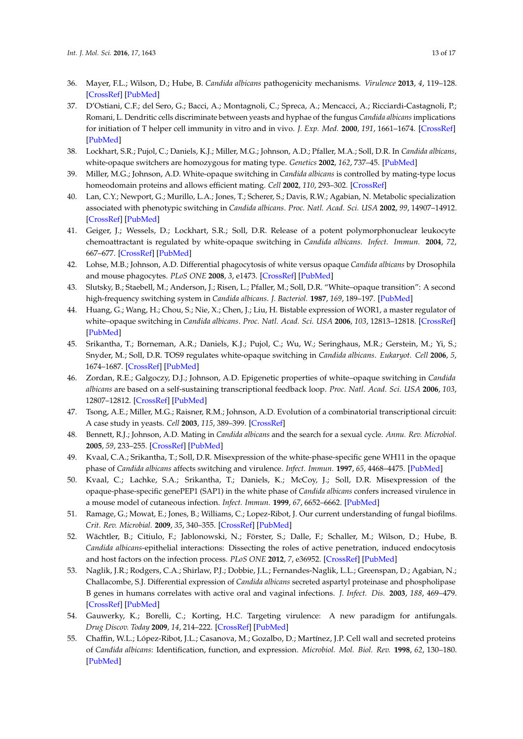- <span id="page-12-0"></span>36. Mayer, F.L.; Wilson, D.; Hube, B. *Candida albicans* pathogenicity mechanisms. *Virulence* **2013**, *4*, 119–128. [\[CrossRef\]](http://dx.doi.org/10.4161/viru.22913) [\[PubMed\]](http://www.ncbi.nlm.nih.gov/pubmed/23302789)
- <span id="page-12-1"></span>37. D'Ostiani, C.F.; del Sero, G.; Bacci, A.; Montagnoli, C.; Spreca, A.; Mencacci, A.; Ricciardi-Castagnoli, P.; Romani, L. Dendritic cells discriminate between yeasts and hyphae of the fungus *Candida albicans* implications for initiation of T helper cell immunity in vitro and in vivo. *J. Exp. Med.* **2000**, *191*, 1661–1674. [\[CrossRef\]](http://dx.doi.org/10.1084/jem.191.10.1661) [\[PubMed\]](http://www.ncbi.nlm.nih.gov/pubmed/10811860)
- <span id="page-12-2"></span>38. Lockhart, S.R.; Pujol, C.; Daniels, K.J.; Miller, M.G.; Johnson, A.D.; Pfaller, M.A.; Soll, D.R. In *Candida albicans*, white-opaque switchers are homozygous for mating type. *Genetics* **2002**, *162*, 737–45. [\[PubMed\]](http://www.ncbi.nlm.nih.gov/pubmed/12399384)
- <span id="page-12-3"></span>39. Miller, M.G.; Johnson, A.D. White-opaque switching in *Candida albicans* is controlled by mating-type locus homeodomain proteins and allows efficient mating. *Cell* **2002**, *110*, 293–302. [\[CrossRef\]](http://dx.doi.org/10.1016/S0092-8674(02)00837-1)
- <span id="page-12-4"></span>40. Lan, C.Y.; Newport, G.; Murillo, L.A.; Jones, T.; Scherer, S.; Davis, R.W.; Agabian, N. Metabolic specialization associated with phenotypic switching in *Candida albicans*. *Proc. Natl. Acad. Sci. USA* **2002**, *99*, 14907–14912. [\[CrossRef\]](http://dx.doi.org/10.1073/pnas.232566499) [\[PubMed\]](http://www.ncbi.nlm.nih.gov/pubmed/12397174)
- <span id="page-12-5"></span>41. Geiger, J.; Wessels, D.; Lockhart, S.R.; Soll, D.R. Release of a potent polymorphonuclear leukocyte chemoattractant is regulated by white-opaque switching in *Candida albicans*. *Infect. Immun.* **2004**, *72*, 667–677. [\[CrossRef\]](http://dx.doi.org/10.1128/IAI.72.2.667-677.2004) [\[PubMed\]](http://www.ncbi.nlm.nih.gov/pubmed/14742507)
- <span id="page-12-6"></span>42. Lohse, M.B.; Johnson, A.D. Differential phagocytosis of white versus opaque *Candida albicans* by Drosophila and mouse phagocytes. *PLoS ONE* **2008**, *3*, e1473. [\[CrossRef\]](http://dx.doi.org/10.1371/journal.pone.0001473) [\[PubMed\]](http://www.ncbi.nlm.nih.gov/pubmed/18213381)
- <span id="page-12-7"></span>43. Slutsky, B.; Staebell, M.; Anderson, J.; Risen, L.; Pfaller, M.; Soll, D.R. "White–opaque transition": A second high-frequency switching system in *Candida albicans*. *J. Bacteriol.* **1987**, *169*, 189–197. [\[PubMed\]](http://www.ncbi.nlm.nih.gov/pubmed/3539914)
- <span id="page-12-8"></span>44. Huang, G.; Wang, H.; Chou, S.; Nie, X.; Chen, J.; Liu, H. Bistable expression of WOR1, a master regulator of white–opaque switching in *Candida albicans*. *Proc. Natl. Acad. Sci. USA* **2006**, *103*, 12813–12818. [\[CrossRef\]](http://dx.doi.org/10.1073/pnas.0605270103) [\[PubMed\]](http://www.ncbi.nlm.nih.gov/pubmed/16905649)
- 45. Srikantha, T.; Borneman, A.R.; Daniels, K.J.; Pujol, C.; Wu, W.; Seringhaus, M.R.; Gerstein, M.; Yi, S.; Snyder, M.; Soll, D.R. TOS9 regulates white-opaque switching in *Candida albicans*. *Eukaryot. Cell* **2006**, *5*, 1674–1687. [\[CrossRef\]](http://dx.doi.org/10.1128/EC.00252-06) [\[PubMed\]](http://www.ncbi.nlm.nih.gov/pubmed/16950924)
- <span id="page-12-9"></span>46. Zordan, R.E.; Galgoczy, D.J.; Johnson, A.D. Epigenetic properties of white–opaque switching in *Candida albicans* are based on a self-sustaining transcriptional feedback loop. *Proc. Natl. Acad. Sci. USA* **2006**, *103*, 12807–12812. [\[CrossRef\]](http://dx.doi.org/10.1073/pnas.0605138103) [\[PubMed\]](http://www.ncbi.nlm.nih.gov/pubmed/16899543)
- <span id="page-12-10"></span>47. Tsong, A.E.; Miller, M.G.; Raisner, R.M.; Johnson, A.D. Evolution of a combinatorial transcriptional circuit: A case study in yeasts. *Cell* **2003**, *115*, 389–399. [\[CrossRef\]](http://dx.doi.org/10.1016/S0092-8674(03)00885-7)
- <span id="page-12-11"></span>48. Bennett, R.J.; Johnson, A.D. Mating in *Candida albicans* and the search for a sexual cycle. *Annu. Rev. Microbiol.* **2005**, *59*, 233–255. [\[CrossRef\]](http://dx.doi.org/10.1146/annurev.micro.59.030804.121310) [\[PubMed\]](http://www.ncbi.nlm.nih.gov/pubmed/15910278)
- <span id="page-12-12"></span>49. Kvaal, C.A.; Srikantha, T.; Soll, D.R. Misexpression of the white-phase-specific gene WH11 in the opaque phase of *Candida albicans* affects switching and virulence. *Infect. Immun.* **1997**, *65*, 4468–4475. [\[PubMed\]](http://www.ncbi.nlm.nih.gov/pubmed/9353021)
- <span id="page-12-13"></span>50. Kvaal, C.; Lachke, S.A.; Srikantha, T.; Daniels, K.; McCoy, J.; Soll, D.R. Misexpression of the opaque-phase-specific genePEP1 (SAP1) in the white phase of *Candida albicans* confers increased virulence in a mouse model of cutaneous infection. *Infect. Immun.* **1999**, *67*, 6652–6662. [\[PubMed\]](http://www.ncbi.nlm.nih.gov/pubmed/10569787)
- <span id="page-12-14"></span>51. Ramage, G.; Mowat, E.; Jones, B.; Williams, C.; Lopez-Ribot, J. Our current understanding of fungal biofilms. *Crit. Rev. Microbial.* **2009**, *35*, 340–355. [\[CrossRef\]](http://dx.doi.org/10.3109/10408410903241436) [\[PubMed\]](http://www.ncbi.nlm.nih.gov/pubmed/19863383)
- <span id="page-12-15"></span>52. Wächtler, B.; Citiulo, F.; Jablonowski, N.; Förster, S.; Dalle, F.; Schaller, M.; Wilson, D.; Hube, B. *Candida albicans*-epithelial interactions: Dissecting the roles of active penetration, induced endocytosis and host factors on the infection process. *PLoS ONE* **2012**, *7*, e36952. [\[CrossRef\]](http://dx.doi.org/10.1371/journal.pone.0036952) [\[PubMed\]](http://www.ncbi.nlm.nih.gov/pubmed/22606314)
- <span id="page-12-16"></span>53. Naglik, J.R.; Rodgers, C.A.; Shirlaw, P.J.; Dobbie, J.L.; Fernandes-Naglik, L.L.; Greenspan, D.; Agabian, N.; Challacombe, S.J. Differential expression of *Candida albicans* secreted aspartyl proteinase and phospholipase B genes in humans correlates with active oral and vaginal infections. *J. Infect. Dis.* **2003**, *188*, 469–479. [\[CrossRef\]](http://dx.doi.org/10.1086/376536) [\[PubMed\]](http://www.ncbi.nlm.nih.gov/pubmed/12870130)
- <span id="page-12-17"></span>54. Gauwerky, K.; Borelli, C.; Korting, H.C. Targeting virulence: A new paradigm for antifungals. *Drug Discov. Today* **2009**, *14*, 214–222. [\[CrossRef\]](http://dx.doi.org/10.1016/j.drudis.2008.11.013) [\[PubMed\]](http://www.ncbi.nlm.nih.gov/pubmed/19152839)
- <span id="page-12-18"></span>55. Chaffin, W.L.; López-Ribot, J.L.; Casanova, M.; Gozalbo, D.; Martínez, J.P. Cell wall and secreted proteins of *Candida albicans*: Identification, function, and expression. *Microbiol. Mol. Biol. Rev.* **1998**, *62*, 130–180. [\[PubMed\]](http://www.ncbi.nlm.nih.gov/pubmed/9529890)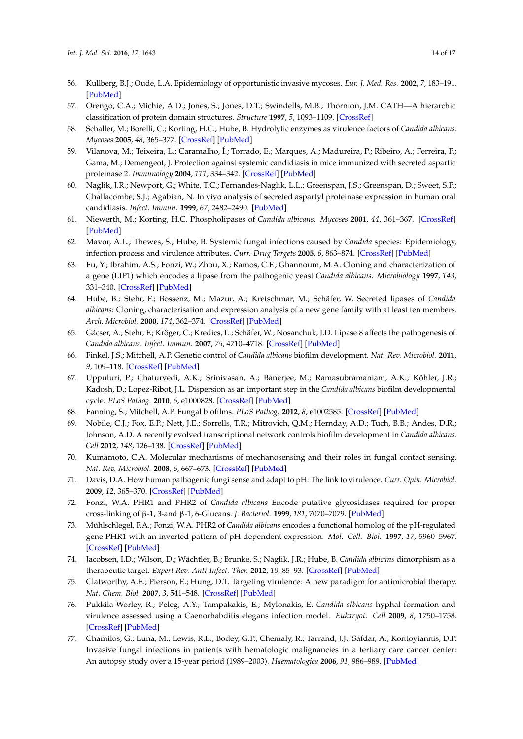- <span id="page-13-0"></span>56. Kullberg, B.J.; Oude, L.A. Epidemiology of opportunistic invasive mycoses. *Eur. J. Med. Res.* **2002**, *7*, 183–191. [\[PubMed\]](http://www.ncbi.nlm.nih.gov/pubmed/12069910)
- <span id="page-13-1"></span>57. Orengo, C.A.; Michie, A.D.; Jones, S.; Jones, D.T.; Swindells, M.B.; Thornton, J.M. CATH—A hierarchic classification of protein domain structures. *Structure* **1997**, *5*, 1093–1109. [\[CrossRef\]](http://dx.doi.org/10.1016/S0969-2126(97)00260-8)
- <span id="page-13-2"></span>58. Schaller, M.; Borelli, C.; Korting, H.C.; Hube, B. Hydrolytic enzymes as virulence factors of *Candida albicans*. *Mycoses* **2005**, *48*, 365–377. [\[CrossRef\]](http://dx.doi.org/10.1111/j.1439-0507.2005.01165.x) [\[PubMed\]](http://www.ncbi.nlm.nih.gov/pubmed/16262871)
- <span id="page-13-3"></span>59. Vilanova, M.; Teixeira, L.; Caramalho, Í.; Torrado, E.; Marques, A.; Madureira, P.; Ribeiro, A.; Ferreira, P.; Gama, M.; Demengeot, J. Protection against systemic candidiasis in mice immunized with secreted aspartic proteinase 2. *Immunology* **2004**, *111*, 334–342. [\[CrossRef\]](http://dx.doi.org/10.1111/j.1365-2567.2004.01819.x) [\[PubMed\]](http://www.ncbi.nlm.nih.gov/pubmed/15009435)
- <span id="page-13-4"></span>60. Naglik, J.R.; Newport, G.; White, T.C.; Fernandes-Naglik, L.L.; Greenspan, J.S.; Greenspan, D.; Sweet, S.P.; Challacombe, S.J.; Agabian, N. In vivo analysis of secreted aspartyl proteinase expression in human oral candidiasis. *Infect. Immun.* **1999**, *67*, 2482–2490. [\[PubMed\]](http://www.ncbi.nlm.nih.gov/pubmed/10225911)
- <span id="page-13-5"></span>61. Niewerth, M.; Korting, H.C. Phospholipases of *Candida albicans*. *Mycoses* **2001**, *44*, 361–367. [\[CrossRef\]](http://dx.doi.org/10.1046/j.1439-0507.2001.00685.x) [\[PubMed\]](http://www.ncbi.nlm.nih.gov/pubmed/11766099)
- <span id="page-13-6"></span>62. Mavor, A.L.; Thewes, S.; Hube, B. Systemic fungal infections caused by *Candida* species: Epidemiology, infection process and virulence attributes. *Curr. Drug Targets* **2005**, *6*, 863–874. [\[CrossRef\]](http://dx.doi.org/10.2174/138945005774912735) [\[PubMed\]](http://www.ncbi.nlm.nih.gov/pubmed/16375670)
- <span id="page-13-7"></span>63. Fu, Y.; Ibrahim, A.S.; Fonzi, W.; Zhou, X.; Ramos, C.F.; Ghannoum, M.A. Cloning and characterization of a gene (LIP1) which encodes a lipase from the pathogenic yeast *Candida albicans*. *Microbiology* **1997**, *143*, 331–340. [\[CrossRef\]](http://dx.doi.org/10.1099/00221287-143-2-331) [\[PubMed\]](http://www.ncbi.nlm.nih.gov/pubmed/9043110)
- <span id="page-13-8"></span>64. Hube, B.; Stehr, F.; Bossenz, M.; Mazur, A.; Kretschmar, M.; Schäfer, W. Secreted lipases of *Candida albicans*: Cloning, characterisation and expression analysis of a new gene family with at least ten members. *Arch. Microbiol.* **2000**, *174*, 362–374. [\[CrossRef\]](http://dx.doi.org/10.1007/s002030000218) [\[PubMed\]](http://www.ncbi.nlm.nih.gov/pubmed/11131027)
- <span id="page-13-9"></span>65. Gácser, A.; Stehr, F.; Kröger, C.; Kredics, L.; Schäfer, W.; Nosanchuk, J.D. Lipase 8 affects the pathogenesis of *Candida albicans*. *Infect. Immun.* **2007**, *75*, 4710–4718. [\[CrossRef\]](http://dx.doi.org/10.1128/IAI.00372-07) [\[PubMed\]](http://www.ncbi.nlm.nih.gov/pubmed/17646357)
- <span id="page-13-10"></span>66. Finkel, J.S.; Mitchell, A.P. Genetic control of *Candida albicans* biofilm development. *Nat. Rev. Microbiol.* **2011**, *9*, 109–118. [\[CrossRef\]](http://dx.doi.org/10.1038/nrmicro2475) [\[PubMed\]](http://www.ncbi.nlm.nih.gov/pubmed/21189476)
- <span id="page-13-11"></span>67. Uppuluri, P.; Chaturvedi, A.K.; Srinivasan, A.; Banerjee, M.; Ramasubramaniam, A.K.; Köhler, J.R.; Kadosh, D.; Lopez-Ribot, J.L. Dispersion as an important step in the *Candida albicans* biofilm developmental cycle. *PLoS Pathog.* **2010**, *6*, e1000828. [\[CrossRef\]](http://dx.doi.org/10.1371/journal.ppat.1000828) [\[PubMed\]](http://www.ncbi.nlm.nih.gov/pubmed/20360962)
- <span id="page-13-12"></span>68. Fanning, S.; Mitchell, A.P. Fungal biofilms. *PLoS Pathog.* **2012**, *8*, e1002585. [\[CrossRef\]](http://dx.doi.org/10.1371/journal.ppat.1002585) [\[PubMed\]](http://www.ncbi.nlm.nih.gov/pubmed/22496639)
- <span id="page-13-13"></span>69. Nobile, C.J.; Fox, E.P.; Nett, J.E.; Sorrells, T.R.; Mitrovich, Q.M.; Hernday, A.D.; Tuch, B.B.; Andes, D.R.; Johnson, A.D. A recently evolved transcriptional network controls biofilm development in *Candida albicans*. *Cell* **2012**, *148*, 126–138. [\[CrossRef\]](http://dx.doi.org/10.1016/j.cell.2011.10.048) [\[PubMed\]](http://www.ncbi.nlm.nih.gov/pubmed/22265407)
- <span id="page-13-14"></span>70. Kumamoto, C.A. Molecular mechanisms of mechanosensing and their roles in fungal contact sensing. *Nat. Rev. Microbiol.* **2008**, *6*, 667–673. [\[CrossRef\]](http://dx.doi.org/10.1038/nrmicro1960) [\[PubMed\]](http://www.ncbi.nlm.nih.gov/pubmed/18679170)
- <span id="page-13-15"></span>71. Davis, D.A. How human pathogenic fungi sense and adapt to pH: The link to virulence. *Curr. Opin. Microbiol.* **2009**, *12*, 365–370. [\[CrossRef\]](http://dx.doi.org/10.1016/j.mib.2009.05.006) [\[PubMed\]](http://www.ncbi.nlm.nih.gov/pubmed/19632143)
- <span id="page-13-16"></span>72. Fonzi, W.A. PHR1 and PHR2 of *Candida albicans* Encode putative glycosidases required for proper cross-linking of β-1, 3-and β-1, 6-Glucans. *J. Bacteriol.* **1999**, *181*, 7070–7079. [\[PubMed\]](http://www.ncbi.nlm.nih.gov/pubmed/10559174)
- <span id="page-13-17"></span>73. Mühlschlegel, F.A.; Fonzi, W.A. PHR2 of *Candida albicans* encodes a functional homolog of the pH-regulated gene PHR1 with an inverted pattern of pH-dependent expression. *Mol. Cell. Biol.* **1997**, *17*, 5960–5967. [\[CrossRef\]](http://dx.doi.org/10.1128/MCB.17.10.5960) [\[PubMed\]](http://www.ncbi.nlm.nih.gov/pubmed/9315654)
- <span id="page-13-18"></span>74. Jacobsen, I.D.; Wilson, D.; Wächtler, B.; Brunke, S.; Naglik, J.R.; Hube, B. *Candida albicans* dimorphism as a therapeutic target. *Expert Rev. Anti-Infect. Ther.* **2012**, *10*, 85–93. [\[CrossRef\]](http://dx.doi.org/10.1586/eri.11.152) [\[PubMed\]](http://www.ncbi.nlm.nih.gov/pubmed/22149617)
- <span id="page-13-19"></span>75. Clatworthy, A.E.; Pierson, E.; Hung, D.T. Targeting virulence: A new paradigm for antimicrobial therapy. *Nat. Chem. Biol.* **2007**, *3*, 541–548. [\[CrossRef\]](http://dx.doi.org/10.1038/nchembio.2007.24) [\[PubMed\]](http://www.ncbi.nlm.nih.gov/pubmed/17710100)
- <span id="page-13-20"></span>76. Pukkila-Worley, R.; Peleg, A.Y.; Tampakakis, E.; Mylonakis, E. *Candida albicans* hyphal formation and virulence assessed using a Caenorhabditis elegans infection model. *Eukaryot. Cell* **2009**, *8*, 1750–1758. [\[CrossRef\]](http://dx.doi.org/10.1128/EC.00163-09) [\[PubMed\]](http://www.ncbi.nlm.nih.gov/pubmed/19666778)
- <span id="page-13-21"></span>77. Chamilos, G.; Luna, M.; Lewis, R.E.; Bodey, G.P.; Chemaly, R.; Tarrand, J.J.; Safdar, A.; Kontoyiannis, D.P. Invasive fungal infections in patients with hematologic malignancies in a tertiary care cancer center: An autopsy study over a 15-year period (1989–2003). *Haematologica* **2006**, *91*, 986–989. [\[PubMed\]](http://www.ncbi.nlm.nih.gov/pubmed/16757415)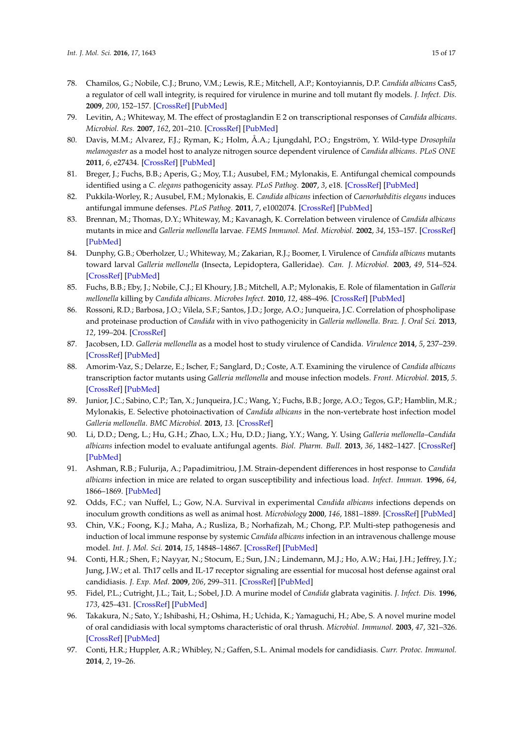- <span id="page-14-0"></span>78. Chamilos, G.; Nobile, C.J.; Bruno, V.M.; Lewis, R.E.; Mitchell, A.P.; Kontoyiannis, D.P. *Candida albicans* Cas5, a regulator of cell wall integrity, is required for virulence in murine and toll mutant fly models. *J. Infect. Dis.* **2009**, *200*, 152–157. [\[CrossRef\]](http://dx.doi.org/10.1086/599363) [\[PubMed\]](http://www.ncbi.nlm.nih.gov/pubmed/19463063)
- <span id="page-14-1"></span>79. Levitin, A.; Whiteway, M. The effect of prostaglandin E 2 on transcriptional responses of *Candida albicans*. *Microbiol. Res.* **2007**, *162*, 201–210. [\[CrossRef\]](http://dx.doi.org/10.1016/j.micres.2007.02.001) [\[PubMed\]](http://www.ncbi.nlm.nih.gov/pubmed/17433645)
- <span id="page-14-2"></span>80. Davis, M.M.; Alvarez, F.J.; Ryman, K.; Holm, Å.A.; Ljungdahl, P.O.; Engström, Y. Wild-type *Drosophila melanogaster* as a model host to analyze nitrogen source dependent virulence of *Candida albicans*. *PLoS ONE* **2011**, *6*, e27434. [\[CrossRef\]](http://dx.doi.org/10.1371/journal.pone.0027434) [\[PubMed\]](http://www.ncbi.nlm.nih.gov/pubmed/22110651)
- <span id="page-14-3"></span>81. Breger, J.; Fuchs, B.B.; Aperis, G.; Moy, T.I.; Ausubel, F.M.; Mylonakis, E. Antifungal chemical compounds identified using a *C. elegans* pathogenicity assay. *PLoS Pathog.* **2007**, *3*, e18. [\[CrossRef\]](http://dx.doi.org/10.1371/journal.ppat.0030018) [\[PubMed\]](http://www.ncbi.nlm.nih.gov/pubmed/17274686)
- <span id="page-14-4"></span>82. Pukkila-Worley, R.; Ausubel, F.M.; Mylonakis, E. *Candida albicans* infection of *Caenorhabditis elegans* induces antifungal immune defenses. *PLoS Pathog.* **2011**, *7*, e1002074. [\[CrossRef\]](http://dx.doi.org/10.1371/journal.ppat.1002074) [\[PubMed\]](http://www.ncbi.nlm.nih.gov/pubmed/21731485)
- <span id="page-14-5"></span>83. Brennan, M.; Thomas, D.Y.; Whiteway, M.; Kavanagh, K. Correlation between virulence of *Candida albicans* mutants in mice and *Galleria mellonella* larvae. *FEMS Immunol. Med. Microbiol.* **2002**, *34*, 153–157. [\[CrossRef\]](http://dx.doi.org/10.1111/j.1574-695X.2002.tb00617.x) [\[PubMed\]](http://www.ncbi.nlm.nih.gov/pubmed/12381467)
- <span id="page-14-6"></span>84. Dunphy, G.B.; Oberholzer, U.; Whiteway, M.; Zakarian, R.J.; Boomer, I. Virulence of *Candida albicans* mutants toward larval *Galleria mellonella* (Insecta, Lepidoptera, Galleridae). *Can. J. Microbiol.* **2003**, *49*, 514–524. [\[CrossRef\]](http://dx.doi.org/10.1139/w03-064) [\[PubMed\]](http://www.ncbi.nlm.nih.gov/pubmed/14608387)
- <span id="page-14-7"></span>85. Fuchs, B.B.; Eby, J.; Nobile, C.J.; El Khoury, J.B.; Mitchell, A.P.; Mylonakis, E. Role of filamentation in *Galleria mellonella* killing by *Candida albicans*. *Microbes Infect.* **2010**, *12*, 488–496. [\[CrossRef\]](http://dx.doi.org/10.1016/j.micinf.2010.03.001) [\[PubMed\]](http://www.ncbi.nlm.nih.gov/pubmed/20223293)
- 86. Rossoni, R.D.; Barbosa, J.O.; Vilela, S.F.; Santos, J.D.; Jorge, A.O.; Junqueira, J.C. Correlation of phospholipase and proteinase production of *Candida* with in vivo pathogenicity in *Galleria mellonella*. *Braz. J. Oral Sci.* **2013**, *12*, 199–204. [\[CrossRef\]](http://dx.doi.org/10.1590/S1677-32252013000300009)
- <span id="page-14-8"></span>87. Jacobsen, I.D. *Galleria mellonella* as a model host to study virulence of Candida. *Virulence* **2014**, *5*, 237–239. [\[CrossRef\]](http://dx.doi.org/10.4161/viru.27434) [\[PubMed\]](http://www.ncbi.nlm.nih.gov/pubmed/24384470)
- <span id="page-14-9"></span>88. Amorim-Vaz, S.; Delarze, E.; Ischer, F.; Sanglard, D.; Coste, A.T. Examining the virulence of *Candida albicans* transcription factor mutants using *Galleria mellonella* and mouse infection models. *Front. Microbiol.* **2015**, *5*. [\[CrossRef\]](http://dx.doi.org/10.3389/fmicb.2015.00367) [\[PubMed\]](http://www.ncbi.nlm.nih.gov/pubmed/25999923)
- <span id="page-14-10"></span>89. Junior, J.C.; Sabino, C.P.; Tan, X.; Junqueira, J.C.; Wang, Y.; Fuchs, B.B.; Jorge, A.O.; Tegos, G.P.; Hamblin, M.R.; Mylonakis, E. Selective photoinactivation of *Candida albicans* in the non-vertebrate host infection model *Galleria mellonella*. *BMC Microbiol.* **2013**, *13*. [\[CrossRef\]](http://dx.doi.org/10.1186/1471-2180-13-217)
- <span id="page-14-11"></span>90. Li, D.D.; Deng, L.; Hu, G.H.; Zhao, L.X.; Hu, D.D.; Jiang, Y.Y.; Wang, Y. Using *Galleria mellonella*–*Candida albicans* infection model to evaluate antifungal agents. *Biol. Pharm. Bull.* **2013**, *36*, 1482–1427. [\[CrossRef\]](http://dx.doi.org/10.1248/bpb.b13-00270) [\[PubMed\]](http://www.ncbi.nlm.nih.gov/pubmed/23995660)
- <span id="page-14-12"></span>91. Ashman, R.B.; Fulurija, A.; Papadimitriou, J.M. Strain-dependent differences in host response to *Candida albicans* infection in mice are related to organ susceptibility and infectious load. *Infect. Immun.* **1996**, *64*, 1866–1869. [\[PubMed\]](http://www.ncbi.nlm.nih.gov/pubmed/8613406)
- <span id="page-14-13"></span>92. Odds, F.C.; van Nuffel, L.; Gow, N.A. Survival in experimental *Candida albicans* infections depends on inoculum growth conditions as well as animal host. *Microbiology* **2000**, *146*, 1881–1889. [\[CrossRef\]](http://dx.doi.org/10.1099/00221287-146-8-1881) [\[PubMed\]](http://www.ncbi.nlm.nih.gov/pubmed/10931892)
- <span id="page-14-14"></span>93. Chin, V.K.; Foong, K.J.; Maha, A.; Rusliza, B.; Norhafizah, M.; Chong, P.P. Multi-step pathogenesis and induction of local immune response by systemic *Candida albicans* infection in an intravenous challenge mouse model. *Int. J. Mol. Sci.* **2014**, *15*, 14848–14867. [\[CrossRef\]](http://dx.doi.org/10.3390/ijms150814848) [\[PubMed\]](http://www.ncbi.nlm.nih.gov/pubmed/25153636)
- <span id="page-14-15"></span>94. Conti, H.R.; Shen, F.; Nayyar, N.; Stocum, E.; Sun, J.N.; Lindemann, M.J.; Ho, A.W.; Hai, J.H.; Jeffrey, J.Y.; Jung, J.W.; et al. Th17 cells and IL-17 receptor signaling are essential for mucosal host defense against oral candidiasis. *J. Exp. Med.* **2009**, *206*, 299–311. [\[CrossRef\]](http://dx.doi.org/10.1084/jem.20081463) [\[PubMed\]](http://www.ncbi.nlm.nih.gov/pubmed/19204111)
- 95. Fidel, P.L.; Cutright, J.L.; Tait, L.; Sobel, J.D. A murine model of *Candida* glabrata vaginitis. *J. Infect. Dis.* **1996**, *173*, 425–431. [\[CrossRef\]](http://dx.doi.org/10.1093/infdis/173.2.425) [\[PubMed\]](http://www.ncbi.nlm.nih.gov/pubmed/8568305)
- <span id="page-14-16"></span>96. Takakura, N.; Sato, Y.; Ishibashi, H.; Oshima, H.; Uchida, K.; Yamaguchi, H.; Abe, S. A novel murine model of oral candidiasis with local symptoms characteristic of oral thrush. *Microbiol. Immunol.* **2003**, *47*, 321–326. [\[CrossRef\]](http://dx.doi.org/10.1111/j.1348-0421.2003.tb03403.x) [\[PubMed\]](http://www.ncbi.nlm.nih.gov/pubmed/12825893)
- <span id="page-14-17"></span>97. Conti, H.R.; Huppler, A.R.; Whibley, N.; Gaffen, S.L. Animal models for candidiasis. *Curr. Protoc. Immunol.* **2014**, *2*, 19–26.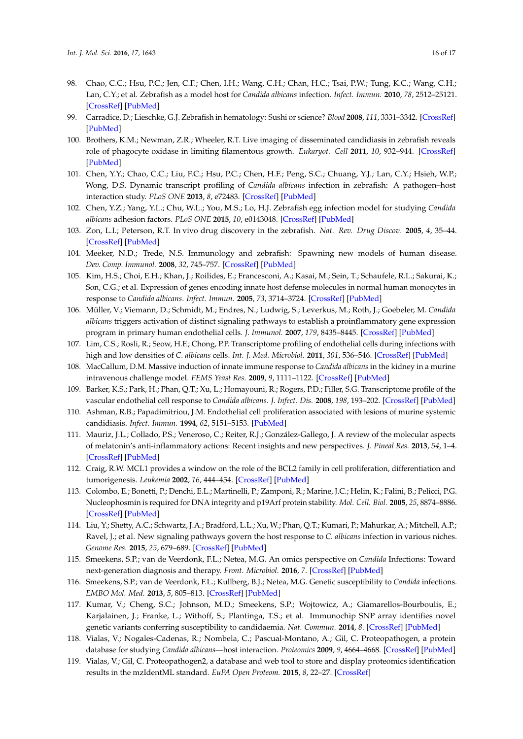- <span id="page-15-0"></span>98. Chao, C.C.; Hsu, P.C.; Jen, C.F.; Chen, I.H.; Wang, C.H.; Chan, H.C.; Tsai, P.W.; Tung, K.C.; Wang, C.H.; Lan, C.Y.; et al. Zebrafish as a model host for *Candida albicans* infection. *Infect. Immun.* **2010**, *78*, 2512–25121. [\[CrossRef\]](http://dx.doi.org/10.1128/IAI.01293-09) [\[PubMed\]](http://www.ncbi.nlm.nih.gov/pubmed/20308295)
- <span id="page-15-1"></span>99. Carradice, D.; Lieschke, G.J. Zebrafish in hematology: Sushi or science? *Blood* **2008**, *111*, 3331–3342. [\[CrossRef\]](http://dx.doi.org/10.1182/blood-2007-10-052761) [\[PubMed\]](http://www.ncbi.nlm.nih.gov/pubmed/18182572)
- <span id="page-15-2"></span>100. Brothers, K.M.; Newman, Z.R.; Wheeler, R.T. Live imaging of disseminated candidiasis in zebrafish reveals role of phagocyte oxidase in limiting filamentous growth. *Eukaryot. Cell* **2011**, *10*, 932–944. [\[CrossRef\]](http://dx.doi.org/10.1128/EC.05005-11) [\[PubMed\]](http://www.ncbi.nlm.nih.gov/pubmed/21551247)
- <span id="page-15-3"></span>101. Chen, Y.Y.; Chao, C.C.; Liu, F.C.; Hsu, P.C.; Chen, H.F.; Peng, S.C.; Chuang, Y.J.; Lan, C.Y.; Hsieh, W.P.; Wong, D.S. Dynamic transcript profiling of *Candida albicans* infection in zebrafish: A pathogen–host interaction study. *PLoS ONE* **2013**, *8*, e72483. [\[CrossRef\]](http://dx.doi.org/10.1371/journal.pone.0072483) [\[PubMed\]](http://www.ncbi.nlm.nih.gov/pubmed/24019870)
- <span id="page-15-4"></span>102. Chen, Y.Z.; Yang, Y.L.; Chu, W.L.; You, M.S.; Lo, H.J. Zebrafish egg infection model for studying *Candida albicans* adhesion factors. *PLoS ONE* **2015**, *10*, e0143048. [\[CrossRef\]](http://dx.doi.org/10.1371/journal.pone.0143048) [\[PubMed\]](http://www.ncbi.nlm.nih.gov/pubmed/26569623)
- <span id="page-15-5"></span>103. Zon, L.I.; Peterson, R.T. In vivo drug discovery in the zebrafish. *Nat. Rev. Drug Discov.* **2005**, *4*, 35–44. [\[CrossRef\]](http://dx.doi.org/10.1038/nrd1606) [\[PubMed\]](http://www.ncbi.nlm.nih.gov/pubmed/15688071)
- <span id="page-15-6"></span>104. Meeker, N.D.; Trede, N.S. Immunology and zebrafish: Spawning new models of human disease. *Dev. Comp. Immunol.* **2008**, *32*, 745–757. [\[CrossRef\]](http://dx.doi.org/10.1016/j.dci.2007.11.011) [\[PubMed\]](http://www.ncbi.nlm.nih.gov/pubmed/18222541)
- <span id="page-15-7"></span>105. Kim, H.S.; Choi, E.H.; Khan, J.; Roilides, E.; Francesconi, A.; Kasai, M.; Sein, T.; Schaufele, R.L.; Sakurai, K.; Son, C.G.; et al. Expression of genes encoding innate host defense molecules in normal human monocytes in response to *Candida albicans*. *Infect. Immun.* **2005**, *73*, 3714–3724. [\[CrossRef\]](http://dx.doi.org/10.1128/IAI.73.6.3714-3724.2005) [\[PubMed\]](http://www.ncbi.nlm.nih.gov/pubmed/15908401)
- <span id="page-15-8"></span>106. Müller, V.; Viemann, D.; Schmidt, M.; Endres, N.; Ludwig, S.; Leverkus, M.; Roth, J.; Goebeler, M. *Candida albicans* triggers activation of distinct signaling pathways to establish a proinflammatory gene expression program in primary human endothelial cells. *J. Immunol.* **2007**, *179*, 8435–8445. [\[CrossRef\]](http://dx.doi.org/10.4049/jimmunol.179.12.8435) [\[PubMed\]](http://www.ncbi.nlm.nih.gov/pubmed/18056390)
- <span id="page-15-9"></span>107. Lim, C.S.; Rosli, R.; Seow, H.F.; Chong, P.P. Transcriptome profiling of endothelial cells during infections with high and low densities of *C. albicans* cells. *Int. J. Med. Microbiol.* **2011**, *301*, 536–546. [\[CrossRef\]](http://dx.doi.org/10.1016/j.ijmm.2010.12.002) [\[PubMed\]](http://www.ncbi.nlm.nih.gov/pubmed/21371935)
- <span id="page-15-10"></span>108. MacCallum, D.M. Massive induction of innate immune response to *Candida albicans* in the kidney in a murine intravenous challenge model. *FEMS Yeast Res.* **2009**, *9*, 1111–1122. [\[CrossRef\]](http://dx.doi.org/10.1111/j.1567-1364.2009.00576.x) [\[PubMed\]](http://www.ncbi.nlm.nih.gov/pubmed/19845042)
- <span id="page-15-11"></span>109. Barker, K.S.; Park, H.; Phan, Q.T.; Xu, L.; Homayouni, R.; Rogers, P.D.; Filler, S.G. Transcriptome profile of the vascular endothelial cell response to *Candida albicans*. *J. Infect. Dis.* **2008**, *198*, 193–202. [\[CrossRef\]](http://dx.doi.org/10.1086/589516) [\[PubMed\]](http://www.ncbi.nlm.nih.gov/pubmed/18500935)
- <span id="page-15-12"></span>110. Ashman, R.B.; Papadimitriou, J.M. Endothelial cell proliferation associated with lesions of murine systemic candidiasis. *Infect. Immun.* **1994**, *62*, 5151–5153. [\[PubMed\]](http://www.ncbi.nlm.nih.gov/pubmed/7523305)
- <span id="page-15-13"></span>111. Mauriz, J.L.; Collado, P.S.; Veneroso, C.; Reiter, R.J.; González-Gallego, J. A review of the molecular aspects of melatonin's anti-inflammatory actions: Recent insights and new perspectives. *J. Pineal Res.* **2013**, *54*, 1–4. [\[CrossRef\]](http://dx.doi.org/10.1111/j.1600-079X.2012.01014.x) [\[PubMed\]](http://www.ncbi.nlm.nih.gov/pubmed/22725668)
- <span id="page-15-14"></span>112. Craig, R.W. MCL1 provides a window on the role of the BCL2 family in cell proliferation, differentiation and tumorigenesis. *Leukemia* **2002**, *16*, 444–454. [\[CrossRef\]](http://dx.doi.org/10.1038/sj.leu.2402416) [\[PubMed\]](http://www.ncbi.nlm.nih.gov/pubmed/11960321)
- <span id="page-15-15"></span>113. Colombo, E.; Bonetti, P.; Denchi, E.L.; Martinelli, P.; Zamponi, R.; Marine, J.C.; Helin, K.; Falini, B.; Pelicci, P.G. Nucleophosmin is required for DNA integrity and p19Arf protein stability. *Mol. Cell. Biol.* **2005**, *25*, 8874–8886. [\[CrossRef\]](http://dx.doi.org/10.1128/MCB.25.20.8874-8886.2005) [\[PubMed\]](http://www.ncbi.nlm.nih.gov/pubmed/16199867)
- <span id="page-15-16"></span>114. Liu, Y.; Shetty, A.C.; Schwartz, J.A.; Bradford, L.L.; Xu, W.; Phan, Q.T.; Kumari, P.; Mahurkar, A.; Mitchell, A.P.; Ravel, J.; et al. New signaling pathways govern the host response to *C. albicans* infection in various niches. *Genome Res.* **2015**, *25*, 679–689. [\[CrossRef\]](http://dx.doi.org/10.1101/gr.187427.114) [\[PubMed\]](http://www.ncbi.nlm.nih.gov/pubmed/25858952)
- <span id="page-15-17"></span>115. Smeekens, S.P.; van de Veerdonk, F.L.; Netea, M.G. An omics perspective on *Candida* Infections: Toward next-generation diagnosis and therapy. *Front. Microbiol.* **2016**, *7*. [\[CrossRef\]](http://dx.doi.org/10.3389/fmicb.2016.00154) [\[PubMed\]](http://www.ncbi.nlm.nih.gov/pubmed/26909070)
- <span id="page-15-18"></span>116. Smeekens, S.P.; van de Veerdonk, F.L.; Kullberg, B.J.; Netea, M.G. Genetic susceptibility to *Candida* infections. *EMBO Mol. Med.* **2013**, *5*, 805–813. [\[CrossRef\]](http://dx.doi.org/10.1002/emmm.201201678) [\[PubMed\]](http://www.ncbi.nlm.nih.gov/pubmed/23629947)
- <span id="page-15-19"></span>117. Kumar, V.; Cheng, S.C.; Johnson, M.D.; Smeekens, S.P.; Wojtowicz, A.; Giamarellos-Bourboulis, E.; Karjalainen, J.; Franke, L.; Withoff, S.; Plantinga, T.S.; et al. Immunochip SNP array identifies novel genetic variants conferring susceptibility to candidaemia. *Nat. Commun.* **2014**, *8*. [\[CrossRef\]](http://dx.doi.org/10.1038/ncomms5675) [\[PubMed\]](http://www.ncbi.nlm.nih.gov/pubmed/25197941)
- <span id="page-15-20"></span>118. Vialas, V.; Nogales-Cadenas, R.; Nombela, C.; Pascual-Montano, A.; Gil, C. Proteopathogen, a protein database for studying *Candida albicans*—host interaction. *Proteomics* **2009**, *9*, 4664–4668. [\[CrossRef\]](http://dx.doi.org/10.1002/pmic.200900023) [\[PubMed\]](http://www.ncbi.nlm.nih.gov/pubmed/19743419)
- <span id="page-15-21"></span>119. Vialas, V.; Gil, C. Proteopathogen2, a database and web tool to store and display proteomics identification results in the mzIdentML standard. *EuPA Open Proteom.* **2015**, *8*, 22–27. [\[CrossRef\]](http://dx.doi.org/10.1016/j.euprot.2015.04.002)